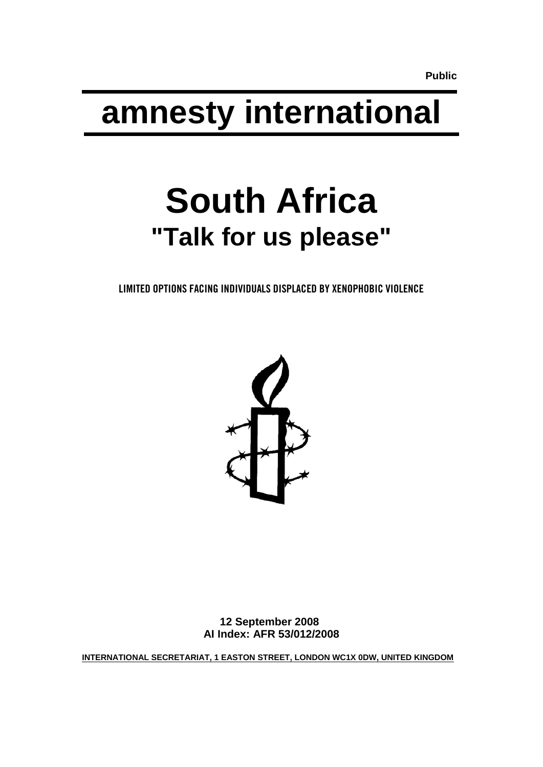**Public**

# **amnesty international**

# **South Africa "Talk for us please"**

LIMITED OPTIONS FACING INDIVIDUALS DISPLACED BY XENOPHOBIC VIOLENCE



**12 September 2008 AI Index: AFR 53/012/2008**

**INTERNATIONAL SECRETARIAT, 1 EASTON STREET, LONDON WC1X 0DW, UNITED KINGDOM**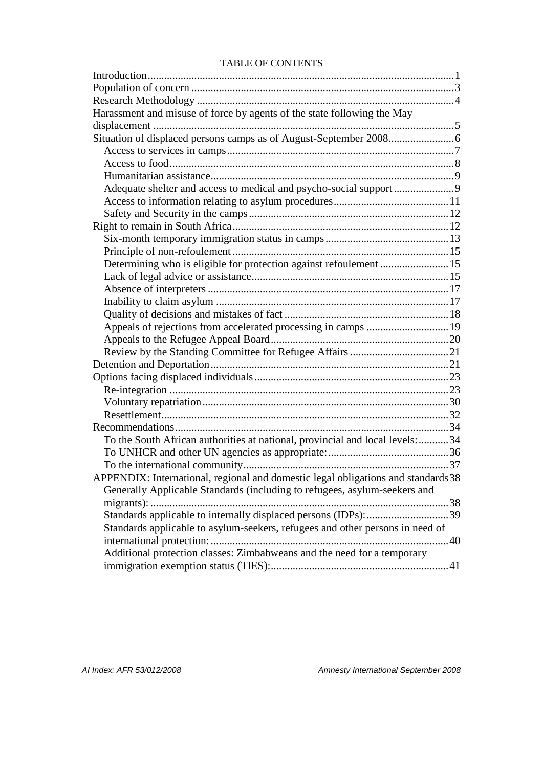#### TABLE OF CONTENTS

| Harassment and misuse of force by agents of the state following the May           |
|-----------------------------------------------------------------------------------|
|                                                                                   |
|                                                                                   |
|                                                                                   |
|                                                                                   |
|                                                                                   |
|                                                                                   |
|                                                                                   |
|                                                                                   |
|                                                                                   |
|                                                                                   |
|                                                                                   |
| Determining who is eligible for protection against refoulement 15                 |
|                                                                                   |
|                                                                                   |
|                                                                                   |
|                                                                                   |
|                                                                                   |
|                                                                                   |
|                                                                                   |
|                                                                                   |
|                                                                                   |
|                                                                                   |
|                                                                                   |
|                                                                                   |
|                                                                                   |
| To the South African authorities at national, provincial and local levels: 34     |
|                                                                                   |
|                                                                                   |
| APPENDIX: International, regional and domestic legal obligations and standards 38 |
| Generally Applicable Standards (including to refugees, asylum-seekers and         |
|                                                                                   |
|                                                                                   |
| Standards applicable to asylum-seekers, refugees and other persons in need of     |
|                                                                                   |
| Additional protection classes: Zimbabweans and the need for a temporary           |
|                                                                                   |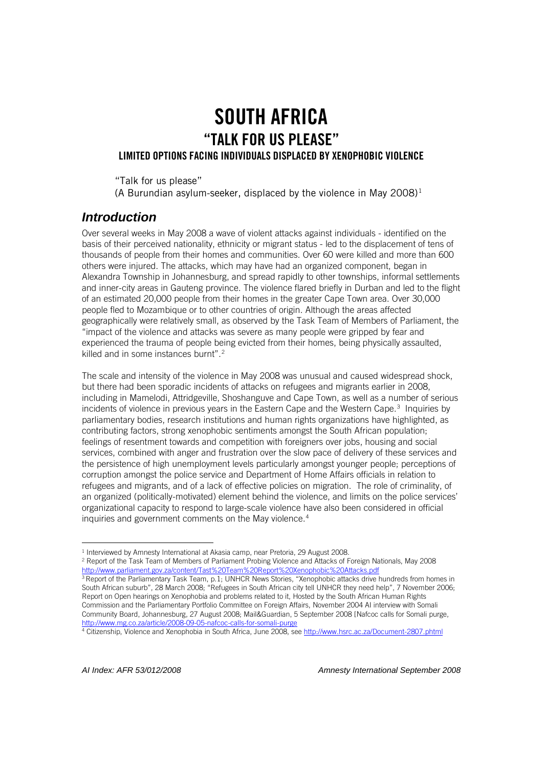## SOUTH AFRICA "TALK FOR US PLEASE" LIMITED OPTIONS FACING INDIVIDUALS DISPLACED BY XENOPHOBIC VIOLENCE

"Talk for us please"

(A Burundian asylum-seeker, displaced by the violence in May  $2008$ )<sup>[1](#page-3-1)</sup>

## <span id="page-3-0"></span>*Introduction*

Over several weeks in May 2008 a wave of violent attacks against individuals - identified on the basis of their perceived nationality, ethnicity or migrant status - led to the displacement of tens of thousands of people from their homes and communities. Over 60 were killed and more than 600 others were injured. The attacks, which may have had an organized component, began in Alexandra Township in Johannesburg, and spread rapidly to other townships, informal settlements and inner-city areas in Gauteng province. The violence flared briefly in Durban and led to the flight of an estimated 20,000 people from their homes in the greater Cape Town area. Over 30,000 people fled to Mozambique or to other countries of origin. Although the areas affected geographically were relatively small, as observed by the Task Team of Members of Parliament, the "impact of the violence and attacks was severe as many people were gripped by fear and experienced the trauma of people being evicted from their homes, being physically assaulted, killed and in some instances burnt".<sup>[2](#page-3-2)</sup>

The scale and intensity of the violence in May 2008 was unusual and caused widespread shock, but there had been sporadic incidents of attacks on refugees and migrants earlier in 2008, including in Mamelodi, Attridgeville, Shoshanguve and Cape Town, as well as a number of serious incidents of violence in previous years in the Eastern Cape and the Western Cape.<sup>[3](#page-3-3)</sup> Inquiries by parliamentary bodies, research institutions and human rights organizations have highlighted, as contributing factors, strong xenophobic sentiments amongst the South African population; feelings of resentment towards and competition with foreigners over jobs, housing and social services, combined with anger and frustration over the slow pace of delivery of these services and the persistence of high unemployment levels particularly amongst younger people; perceptions of corruption amongst the police service and Department of Home Affairs officials in relation to refugees and migrants, and of a lack of effective policies on migration. The role of criminality, of an organized (politically-motivated) element behind the violence, and limits on the police services' organizational capacity to respond to large-scale violence have also been considered in official inquiries and government comments on the May violence.<sup>[4](#page-3-4)</sup>

 $\overline{a}$ <sup>1</sup> Interviewed by Amnesty International at Akasia camp, near Pretoria, 29 August 2008.

<span id="page-3-2"></span><span id="page-3-1"></span><sup>2</sup> Report of the Task Team of Members of Parliament Probing Violence and Attacks of Foreign Nationals, May 2008 <http://www.parliament.gov.za/content/Tast%20Team%20Report%20Xenophobic%20Attacks.pdf>

<span id="page-3-3"></span><sup>&</sup>lt;sup>3</sup> Report of the Parliamentary Task Team, p.1; UNHCR News Stories, "Xenophobic attacks drive hundreds from homes in South African suburb", 28 March 2008; "Refugees in South African city tell UNHCR they need help", 7 November 2006; Report on Open hearings on Xenophobia and problems related to it, Hosted by the South African Human Rights Commission and the Parliamentary Portfolio Committee on Foreign Affairs, November 2004 AI interview with Somali Community Board, Johannesburg, 27 August 2008; Mail&Guardian, 5 September 2008 [Nafcoc calls for Somali purge, <http://www.mg.co.za/article/2008-09-05-nafcoc-calls-for-somali-purge>

<span id="page-3-4"></span><sup>4</sup> Citizenship, Violence and Xenophobia in South Africa, June 2008, se[e http://www.hsrc.ac.za/Document-2807.phtml](http://www.hsrc.ac.za/Document-2807.phtml)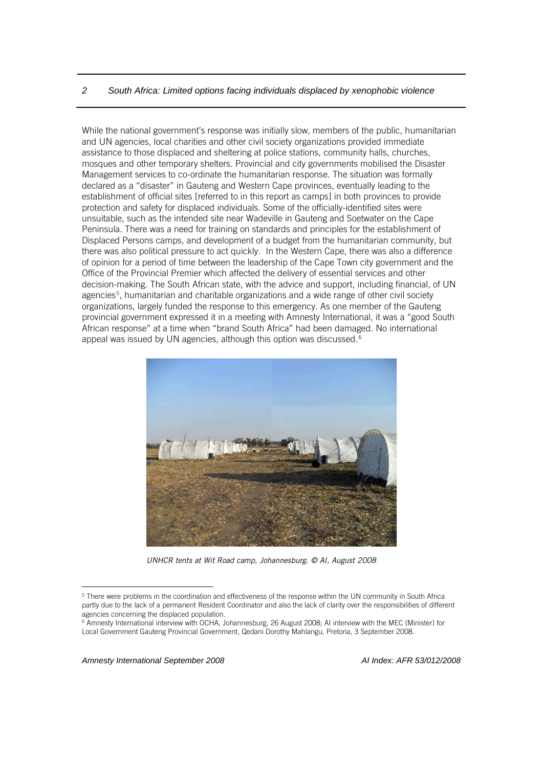While the national government's response was initially slow, members of the public, humanitarian and UN agencies, local charities and other civil society organizations provided immediate assistance to those displaced and sheltering at police stations, community halls, churches, mosques and other temporary shelters. Provincial and city governments mobilised the Disaster Management services to co-ordinate the humanitarian response. The situation was formally declared as a "disaster" in Gauteng and Western Cape provinces, eventually leading to the establishment of official sites [referred to in this report as camps] in both provinces to provide protection and safety for displaced individuals. Some of the officially-identified sites were unsuitable, such as the intended site near Wadeville in Gauteng and Soetwater on the Cape Peninsula. There was a need for training on standards and principles for the establishment of Displaced Persons camps, and development of a budget from the humanitarian community, but there was also political pressure to act quickly. In the Western Cape, there was also a difference of opinion for a period of time between the leadership of the Cape Town city government and the Office of the Provincial Premier which affected the delivery of essential services and other decision-making. The South African state, with the advice and support, including financial, of UN agencies<sup>[5](#page-4-0)</sup>, humanitarian and charitable organizations and a wide range of other civil society organizations, largely funded the response to this emergency. As one member of the Gauteng provincial government expressed it in a meeting with Amnesty International, it was a "good South African response" at a time when "brand South Africa" had been damaged. No international appeal was issued by UN agencies, although this option was discussed.<sup>[6](#page-4-1)</sup>



*UNHCR tents at Wit Road camp, Johannesburg. © AI, August 2008*

<span id="page-4-0"></span><sup>5</sup> There were problems in the coordination and effectiveness of the response within the UN community in South Africa partly due to the lack of a permanent Resident Coordinator and also the lack of clarity over the responsibilities of different agencies concerning the displaced population.

<span id="page-4-1"></span><sup>6</sup> Amnesty International interview with OCHA, Johannesburg, 26 August 2008; AI interview with the MEC (Minister) for Local Government Gauteng Provincial Government, Qedani Dorothy Mahlangu, Pretoria, 3 September 2008.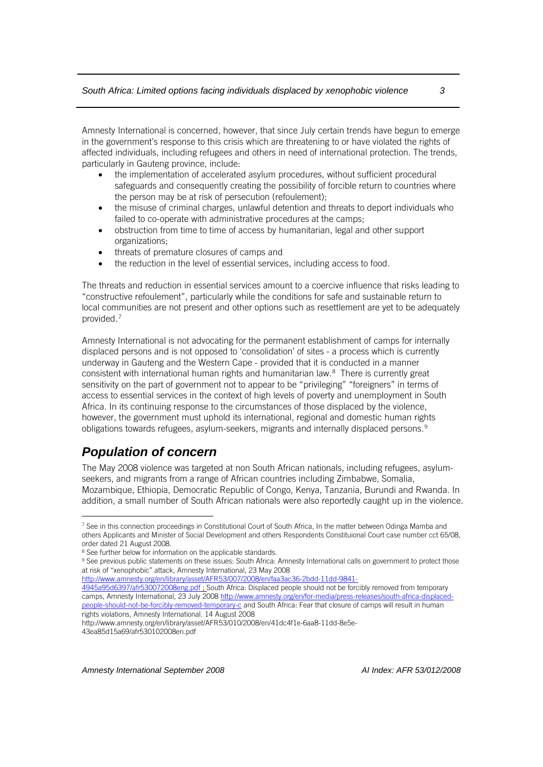Amnesty International is concerned, however, that since July certain trends have begun to emerge in the government's response to this crisis which are threatening to or have violated the rights of affected individuals, including refugees and others in need of international protection. The trends, particularly in Gauteng province, include:

- the implementation of accelerated asylum procedures, without sufficient procedural safeguards and consequently creating the possibility of forcible return to countries where the person may be at risk of persecution (refoulement);
- the misuse of criminal charges, unlawful detention and threats to deport individuals who failed to co-operate with administrative procedures at the camps;
- obstruction from time to time of access by humanitarian, legal and other support organizations;
- threats of premature closures of camps and
- the reduction in the level of essential services, including access to food.

The threats and reduction in essential services amount to a coercive influence that risks leading to "constructive refoulement", particularly while the conditions for safe and sustainable return to local communities are not present and other options such as resettlement are yet to be adequately provided.[7](#page-5-1)

Amnesty International is not advocating for the permanent establishment of camps for internally displaced persons and is not opposed to 'consolidation' of sites - a process which is currently underway in Gauteng and the Western Cape - provided that it is conducted in a manner consistent with international human rights and humanitarian law.<sup>[8](#page-5-2)</sup> There is currently great sensitivity on the part of government not to appear to be "privileging" "foreigners" in terms of access to essential services in the context of high levels of poverty and unemployment in South Africa. In its continuing response to the circumstances of those displaced by the violence, however, the government must uphold its international, regional and domestic human rights obligations towards refugees, asylum-seekers, migrants and internally displaced persons.[9](#page-5-3)

## <span id="page-5-0"></span>*Population of concern*

 $\overline{a}$ 

The May 2008 violence was targeted at non South African nationals, including refugees, asylumseekers, and migrants from a range of African countries including Zimbabwe, Somalia, Mozambique, Ethiopia, Democratic Republic of Congo, Kenya, Tanzania, Burundi and Rwanda. In addition, a small number of South African nationals were also reportedly caught up in the violence.

[4945a95d6397/afr530072008eng.pdf](http://www.amnesty.org/en/library/asset/AFR53/007/2008/en/faa3ac36-2bdd-11dd-9841-4945a95d6397/afr530072008eng.pdf) ; South Africa: Displaced people should not be forcibly removed from temporary camps, Amnesty International, 23 July 2008 [http://www.amnesty.org/en/for-media/press-releases/south-africa-displaced](http://www.amnesty.org/en/for-media/press-releases/south-africa-displaced-people-should-not-be-forcibly-removed-temporary-c)[people-should-not-be-forcibly-removed-temporary-c](http://www.amnesty.org/en/for-media/press-releases/south-africa-displaced-people-should-not-be-forcibly-removed-temporary-c) and South Africa: Fear that closure of camps will result in human rights violations, Amnesty International. 14 August 2008

http://www.amnesty.org/en/library/asset/AFR53/010/2008/en/41dc4f1e-6aa8-11dd-8e5e-

43ea85d15a69/afr530102008en.pdf

<span id="page-5-1"></span><sup>7</sup> See in this connection proceedings in Constitutional Court of South Africa, In the matter between Odinga Mamba and others Applicants and Minister of Social Development and others Respondents Constituional Court case number cct 65/08, order dated 21 August 2008.

<span id="page-5-2"></span><sup>&</sup>lt;sup>8</sup> See further below for information on the applicable standards.

<span id="page-5-3"></span><sup>9</sup> See previous public statements on these issues: South Africa: Amnesty International calls on government to protect those at risk of "xenophobic" attack, Amnesty International, 23 May 2008

[http://www.amnesty.org/en/library/asset/AFR53/007/2008/en/faa3ac36-2bdd-11dd-9841-](http://www.amnesty.org/en/library/asset/AFR53/007/2008/en/faa3ac36-2bdd-11dd-9841-4945a95d6397/afr530072008eng.pdf)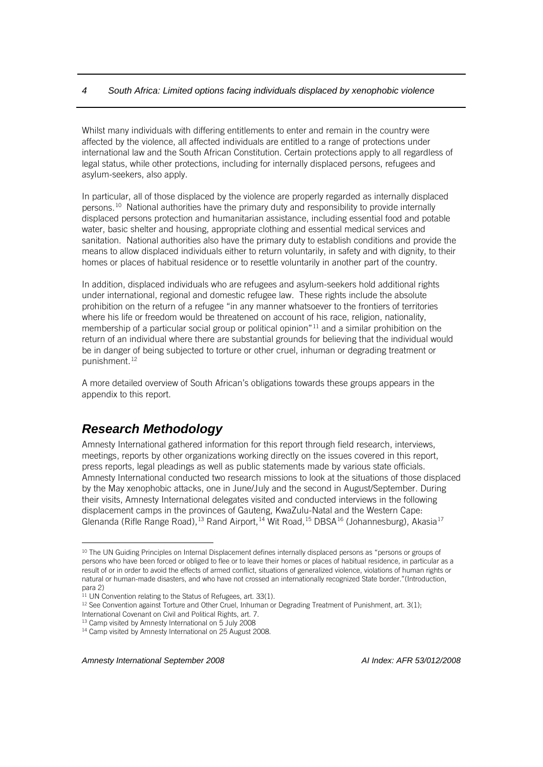Whilst many individuals with differing entitlements to enter and remain in the country were affected by the violence, all affected individuals are entitled to a range of protections under international law and the South African Constitution. Certain protections apply to all regardless of legal status, while other protections, including for internally displaced persons, refugees and asylum-seekers, also apply.

In particular, all of those displaced by the violence are properly regarded as internally displaced persons.[10](#page-6-1) National authorities have the primary duty and responsibility to provide internally displaced persons protection and humanitarian assistance, including essential food and potable water, basic shelter and housing, appropriate clothing and essential medical services and sanitation. National authorities also have the primary duty to establish conditions and provide the means to allow displaced individuals either to return voluntarily, in safety and with dignity, to their homes or places of habitual residence or to resettle voluntarily in another part of the country.

In addition, displaced individuals who are refugees and asylum-seekers hold additional rights under international, regional and domestic refugee law. These rights include the absolute prohibition on the return of a refugee "in any manner whatsoever to the frontiers of territories where his life or freedom would be threatened on account of his race, religion, nationality, membership of a particular social group or political opinion"[11](#page-6-2) and a similar prohibition on the return of an individual where there are substantial grounds for believing that the individual would be in danger of being subjected to torture or other cruel, inhuman or degrading treatment or punishment.[12](#page-6-3)

A more detailed overview of South African's obligations towards these groups appears in the appendix to this report.

## <span id="page-6-0"></span>*Research Methodology*

 $\overline{a}$ 

Amnesty International gathered information for this report through field research, interviews, meetings, reports by other organizations working directly on the issues covered in this report, press reports, legal pleadings as well as public statements made by various state officials. Amnesty International conducted two research missions to look at the situations of those displaced by the May xenophobic attacks, one in June/July and the second in August/September. During their visits, Amnesty International delegates visited and conducted interviews in the following displacement camps in the provinces of Gauteng, KwaZulu-Natal and the Western Cape: Glenanda (Rifle Range Road),<sup>[13](#page-6-4)</sup> Rand Airport,<sup>[14](#page-6-5)</sup> Wit Road,<sup>[15](#page-6-6)</sup> DBSA<sup>[16](#page-6-7)</sup> (Johannesburg), Akasia<sup>[17](#page-6-8)</sup>

<span id="page-6-4"></span>

<span id="page-6-6"></span><span id="page-6-1"></span><sup>&</sup>lt;sup>10</sup> The UN Guiding Principles on Internal Displacement defines internally displaced persons as "persons or groups of persons who have been forced or obliged to flee or to leave their homes or places of habitual residence, in particular as a result of or in order to avoid the effects of armed conflict, situations of generalized violence, violations of human rights or natural or human-made disasters, and who have not crossed an internationally recognized State border."(Introduction, para 2)

<span id="page-6-8"></span><span id="page-6-7"></span><span id="page-6-2"></span><sup>&</sup>lt;sup>11</sup> UN Convention relating to the Status of Refugees, art. 33(1).

<span id="page-6-3"></span> $12$  See Convention against Torture and Other Cruel, Inhuman or Degrading Treatment of Punishment, art. 3(1); International Covenant on Civil and Political Rights, art. 7. 13 Camp visited by Amnesty International on 5 July 2008

<span id="page-6-5"></span><sup>&</sup>lt;sup>14</sup> Camp visited by Amnesty International on 25 August 2008.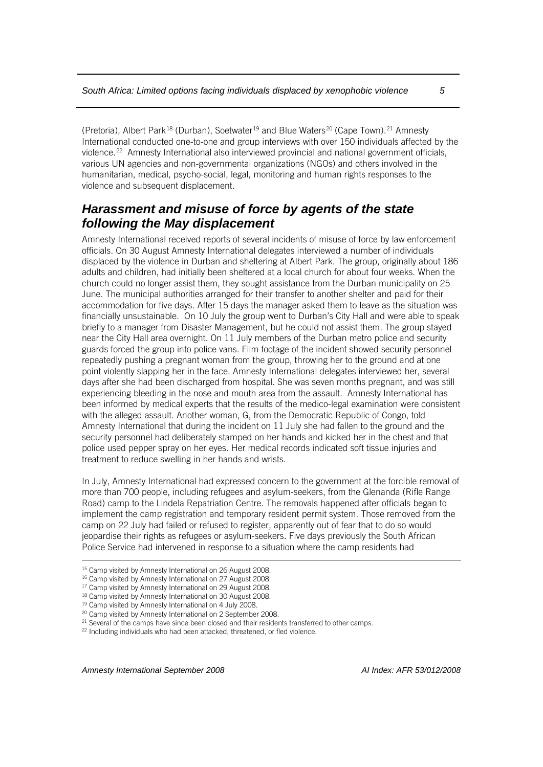(Pretoria), Albert Park<sup>[18](#page-7-1)</sup> (Durban), Soetwater<sup>[19](#page-7-2)</sup> and Blue Waters<sup>[20](#page-7-3)</sup> (Cape Town).<sup>[21](#page-7-4)</sup> Amnesty International conducted one-to-one and group interviews with over 150 individuals affected by the violence.<sup>[22](#page-7-5)</sup> Amnesty International also interviewed provincial and national government officials, various UN agencies and non-governmental organizations (NGOs) and others involved in the humanitarian, medical, psycho-social, legal, monitoring and human rights responses to the violence and subsequent displacement.

## <span id="page-7-0"></span>*Harassment and misuse of force by agents of the state following the May displacement*

Amnesty International received reports of several incidents of misuse of force by law enforcement officials. On 30 August Amnesty International delegates interviewed a number of individuals displaced by the violence in Durban and sheltering at Albert Park. The group, originally about 186 adults and children, had initially been sheltered at a local church for about four weeks. When the church could no longer assist them, they sought assistance from the Durban municipality on 25 June. The municipal authorities arranged for their transfer to another shelter and paid for their accommodation for five days. After 15 days the manager asked them to leave as the situation was financially unsustainable. On 10 July the group went to Durban's City Hall and were able to speak briefly to a manager from Disaster Management, but he could not assist them. The group stayed near the City Hall area overnight. On 11 July members of the Durban metro police and security guards forced the group into police vans. Film footage of the incident showed security personnel repeatedly pushing a pregnant woman from the group, throwing her to the ground and at one point violently slapping her in the face. Amnesty International delegates interviewed her, several days after she had been discharged from hospital. She was seven months pregnant, and was still experiencing bleeding in the nose and mouth area from the assault. Amnesty International has been informed by medical experts that the results of the medico-legal examination were consistent with the alleged assault. Another woman, G, from the Democratic Republic of Congo, told Amnesty International that during the incident on 11 July she had fallen to the ground and the security personnel had deliberately stamped on her hands and kicked her in the chest and that police used pepper spray on her eyes. Her medical records indicated soft tissue injuries and treatment to reduce swelling in her hands and wrists.

In July, Amnesty International had expressed concern to the government at the forcible removal of more than 700 people, including refugees and asylum-seekers, from the Glenanda (Rifle Range Road) camp to the Lindela Repatriation Centre. The removals happened after officials began to implement the camp registration and temporary resident permit system. Those removed from the camp on 22 July had failed or refused to register, apparently out of fear that to do so would jeopardise their rights as refugees or asylum-seekers. Five days previously the South African Police Service had intervened in response to a situation where the camp residents had

*Amnesty International September 2008 AI Index: AFR 53/012/2008*

<sup>&</sup>lt;sup>15</sup> Camp visited by Amnesty International on 26 August 2008.

<sup>&</sup>lt;sup>16</sup> Camp visited by Amnesty International on 27 August 2008.

<sup>&</sup>lt;sup>17</sup> Camp visited by Amnesty International on 29 August 2008.

<span id="page-7-1"></span><sup>&</sup>lt;sup>18</sup> Camp visited by Amnesty International on 30 August 2008.

<span id="page-7-2"></span><sup>&</sup>lt;sup>19</sup> Camp visited by Amnesty International on 4 July 2008.

<span id="page-7-3"></span><sup>20</sup> Camp visited by Amnesty International on 2 September 2008.

<span id="page-7-4"></span><sup>&</sup>lt;sup>21</sup> Several of the camps have since been closed and their residents transferred to other camps.

<span id="page-7-5"></span><sup>&</sup>lt;sup>22</sup> Including individuals who had been attacked, threatened, or fled violence.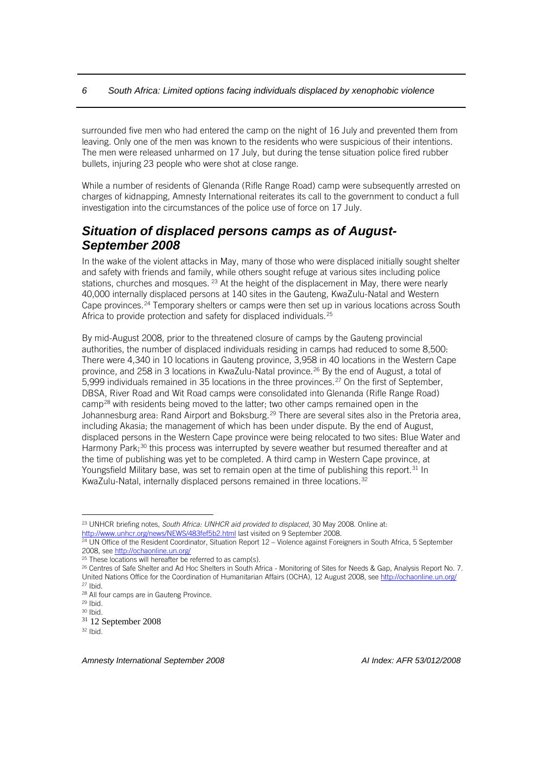surrounded five men who had entered the camp on the night of 16 July and prevented them from leaving. Only one of the men was known to the residents who were suspicious of their intentions. The men were released unharmed on 17 July, but during the tense situation police fired rubber bullets, injuring 23 people who were shot at close range.

While a number of residents of Glenanda (Rifle Range Road) camp were subsequently arrested on charges of kidnapping, Amnesty International reiterates its call to the government to conduct a full investigation into the circumstances of the police use of force on 17 July.

## <span id="page-8-0"></span>*Situation of displaced persons camps as of August-September 2008*

In the wake of the violent attacks in May, many of those who were displaced initially sought shelter and safety with friends and family, while others sought refuge at various sites including police stations, churches and mosques.  $23$  At the height of the displacement in May, there were nearly 40,000 internally displaced persons at 140 sites in the Gauteng, KwaZulu-Natal and Western Cape provinces.<sup>[24](#page-8-2)</sup> Temporary shelters or camps were then set up in various locations across South Africa to provide protection and safety for displaced individuals.<sup>[25](#page-8-3)</sup>

By mid-August 2008, prior to the threatened closure of camps by the Gauteng provincial authorities, the number of displaced individuals residing in camps had reduced to some 8,500: There were 4,340 in 10 locations in Gauteng province, 3,958 in 40 locations in the Western Cape province, and 258 in 3 locations in KwaZulu-Natal province.<sup>[26](#page-8-4)</sup> By the end of August, a total of 5,999 individuals remained in 35 locations in the three provinces.<sup>[27](#page-8-5)</sup> On the first of September, DBSA, River Road and Wit Road camps were consolidated into Glenanda (Rifle Range Road) camp[28](#page-8-6) with residents being moved to the latter; two other camps remained open in the Johannesburg area: Rand Airport and Boksburg.<sup>[29](#page-8-7)</sup> There are several sites also in the Pretoria area, including Akasia; the management of which has been under dispute. By the end of August, displaced persons in the Western Cape province were being relocated to two sites: Blue Water and Harmony Park;<sup>[30](#page-8-8)</sup> this process was interrupted by severe weather but resumed thereafter and at the time of publishing was yet to be completed. A third camp in Western Cape province, at Youngsfield Military base, was set to remain open at the time of publishing this report.<sup>[31](#page-8-9)</sup> In KwaZulu-Natal, internally displaced persons remained in three locations.<sup>[32](#page-8-10)</sup>

 $\overline{a}$ 

<span id="page-8-1"></span><sup>23</sup> UNHCR briefing notes, *South Africa: UNHCR aid provided to displaced*, 30 May 2008. Online at: <http://www.unhcr.org/news/NEWS/483fef5b2.html> last visited on 9 September 2008.

<span id="page-8-2"></span><sup>24</sup> UN Office of the Resident Coordinator, Situation Report 12 – Violence against Foreigners in South Africa, 5 September 2008, see http://ochaonline.un.org/<br><sup>25</sup> These locations will hereafter be referred to as camp(s).<br><sup>26</sup> Centres of Safe Shelter and Ad Hoc Shelters in South Africa - Monitoring of Sites for Needs & Gap, Analysis Report No.

<span id="page-8-4"></span><span id="page-8-3"></span>United Nations Office for the Coordination of Humanitarian Affairs (OCHA), 12 August 2008, see http://ochaonline.un.org/<br><sup>27</sup> Ibid.

<span id="page-8-5"></span><sup>28</sup> All four camps are in Gauteng Province.

<span id="page-8-8"></span><span id="page-8-7"></span><span id="page-8-6"></span> $29$  Ibid. <sup>30</sup> Ibid.

<span id="page-8-9"></span><sup>31</sup> 12 September 2008

<span id="page-8-10"></span> $32$  Ibid.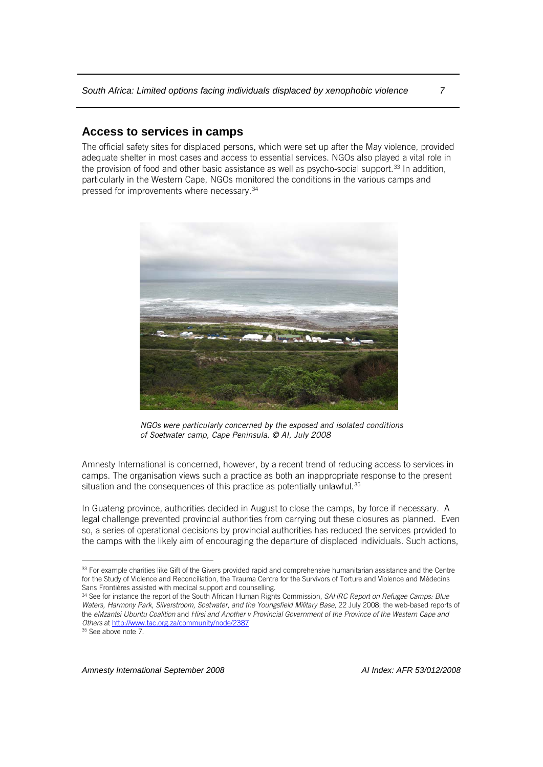#### <span id="page-9-0"></span>**Access to services in camps**

The official safety sites for displaced persons, which were set up after the May violence, provided adequate shelter in most cases and access to essential services. NGOs also played a vital role in the provision of food and other basic assistance as well as psycho-social support.<sup>[33](#page-9-1)</sup> In addition, particularly in the Western Cape, NGOs monitored the conditions in the various camps and pressed for improvements where necessary.[34](#page-9-2)



*NGOs were particularly concerned by the exposed and isolated conditions of Soetwater camp, Cape Peninsula. © AI, July 2008*

Amnesty International is concerned, however, by a recent trend of reducing access to services in camps. The organisation views such a practice as both an inappropriate response to the present situation and the consequences of this practice as potentially unlawful.<sup>[35](#page-9-3)</sup>

In Guateng province, authorities decided in August to close the camps, by force if necessary. A legal challenge prevented provincial authorities from carrying out these closures as planned. Even so, a series of operational decisions by provincial authorities has reduced the services provided to the camps with the likely aim of encouraging the departure of displaced individuals. Such actions,

 $\overline{a}$ 

<span id="page-9-1"></span><sup>33</sup> For example charities like Gift of the Givers provided rapid and comprehensive humanitarian assistance and the Centre for the Study of Violence and Reconciliation, the Trauma Centre for the Survivors of Torture and Violence and Médecins Sans Frontières assisted with medical support and counselling.<br><sup>34</sup> See for instance the report of the South African Human Rights Commission, *SAHRC Report on Refugee Camps: Blue* 

<span id="page-9-2"></span>*Waters, Harmony Park, Silverstroom, Soetwater, and the Youngsfield Military Base*, 22 July 2008; the web-based reports of the *eMzantsi Ubuntu Coalition* and *Hirsi and Another v Provincial Government of the Province of the Western Cape and Others* a[t http://www.tac.org.za/community/node/2387](http://www.tac.org.za/community/node/2387)

<span id="page-9-3"></span><sup>&</sup>lt;sup>35</sup> See above note 7.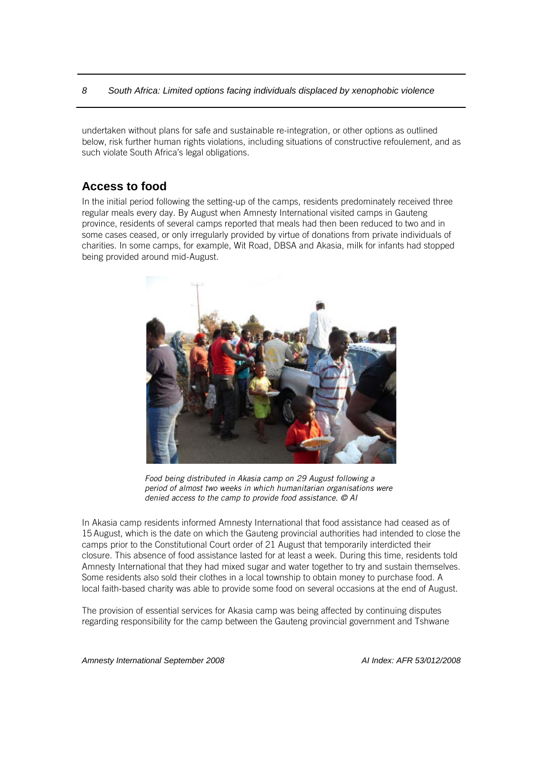undertaken without plans for safe and sustainable re-integration, or other options as outlined below, risk further human rights violations, including situations of constructive refoulement*,* and as such violate South Africa's legal obligations.

#### <span id="page-10-0"></span>**Access to food**

In the initial period following the setting-up of the camps, residents predominately received three regular meals every day. By August when Amnesty International visited camps in Gauteng province, residents of several camps reported that meals had then been reduced to two and in some cases ceased, or only irregularly provided by virtue of donations from private individuals of charities. In some camps, for example, Wit Road, DBSA and Akasia, milk for infants had stopped being provided around mid-August.



*Food being distributed in Akasia camp on 29 August following a period of almost two weeks in which humanitarian organisations were denied access to the camp to provide food assistance. © AI*

In Akasia camp residents informed Amnesty International that food assistance had ceased as of 15 August, which is the date on which the Gauteng provincial authorities had intended to close the camps prior to the Constitutional Court order of 21 August that temporarily interdicted their closure. This absence of food assistance lasted for at least a week. During this time, residents told Amnesty International that they had mixed sugar and water together to try and sustain themselves. Some residents also sold their clothes in a local township to obtain money to purchase food. A local faith-based charity was able to provide some food on several occasions at the end of August.

The provision of essential services for Akasia camp was being affected by continuing disputes regarding responsibility for the camp between the Gauteng provincial government and Tshwane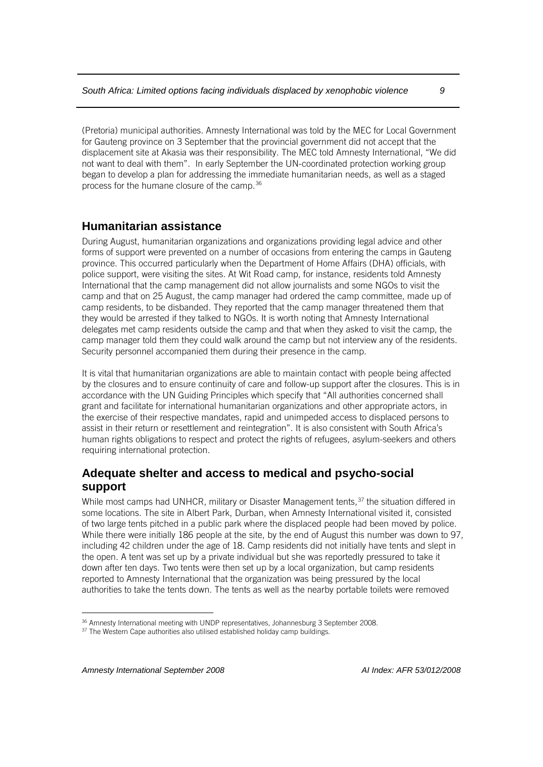(Pretoria) municipal authorities. Amnesty International was told by the MEC for Local Government for Gauteng province on 3 September that the provincial government did not accept that the displacement site at Akasia was their responsibility. The MEC told Amnesty International, "We did not want to deal with them". In early September the UN-coordinated protection working group began to develop a plan for addressing the immediate humanitarian needs, as well as a staged process for the humane closure of the camp.[36](#page-11-2)

#### <span id="page-11-0"></span>**Humanitarian assistance**

During August, humanitarian organizations and organizations providing legal advice and other forms of support were prevented on a number of occasions from entering the camps in Gauteng province. This occurred particularly when the Department of Home Affairs (DHA) officials, with police support, were visiting the sites. At Wit Road camp, for instance, residents told Amnesty International that the camp management did not allow journalists and some NGOs to visit the camp and that on 25 August, the camp manager had ordered the camp committee, made up of camp residents, to be disbanded. They reported that the camp manager threatened them that they would be arrested if they talked to NGOs. It is worth noting that Amnesty International delegates met camp residents outside the camp and that when they asked to visit the camp, the camp manager told them they could walk around the camp but not interview any of the residents. Security personnel accompanied them during their presence in the camp.

It is vital that humanitarian organizations are able to maintain contact with people being affected by the closures and to ensure continuity of care and follow-up support after the closures. This is in accordance with the UN Guiding Principles which specify that "All authorities concerned shall grant and facilitate for international humanitarian organizations and other appropriate actors, in the exercise of their respective mandates, rapid and unimpeded access to displaced persons to assist in their return or resettlement and reintegration". It is also consistent with South Africa's human rights obligations to respect and protect the rights of refugees, asylum-seekers and others requiring international protection.

## <span id="page-11-1"></span>**Adequate shelter and access to medical and psycho-social support**

While most camps had UNHCR, military or Disaster Management tents,<sup>[37](#page-11-3)</sup> the situation differed in some locations. The site in Albert Park, Durban, when Amnesty International visited it, consisted of two large tents pitched in a public park where the displaced people had been moved by police. While there were initially 186 people at the site, by the end of August this number was down to 97, including 42 children under the age of 18. Camp residents did not initially have tents and slept in the open. A tent was set up by a private individual but she was reportedly pressured to take it down after ten days. Two tents were then set up by a local organization, but camp residents reported to Amnesty International that the organization was being pressured by the local authorities to take the tents down. The tents as well as the nearby portable toilets were removed

<span id="page-11-2"></span> $36$  Amnesty International meeting with UNDP representatives, Johannesburg 3 September 2008.  $37$  The Western Cape authorities also utilised established holiday camp buildings.

<span id="page-11-3"></span>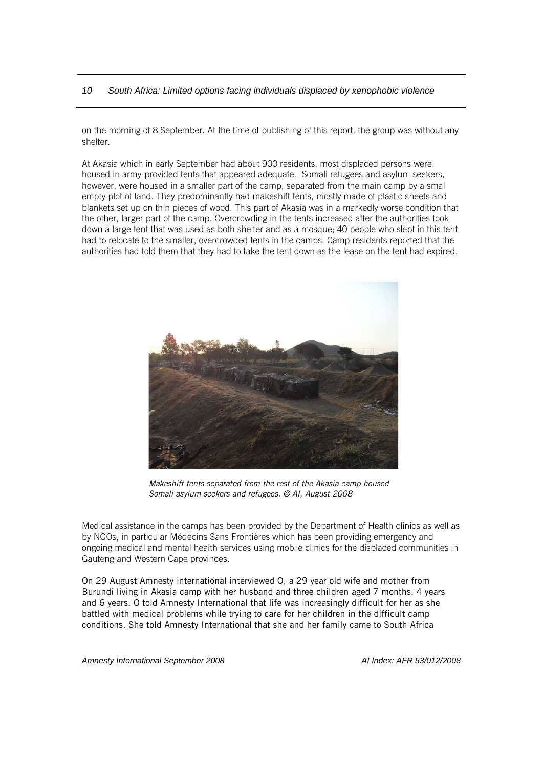on the morning of 8 September. At the time of publishing of this report, the group was without any shelter.

At Akasia which in early September had about 900 residents, most displaced persons were housed in army-provided tents that appeared adequate. Somali refugees and asylum seekers, however, were housed in a smaller part of the camp, separated from the main camp by a small empty plot of land. They predominantly had makeshift tents, mostly made of plastic sheets and blankets set up on thin pieces of wood. This part of Akasia was in a markedly worse condition that the other, larger part of the camp. Overcrowding in the tents increased after the authorities took down a large tent that was used as both shelter and as a mosque; 40 people who slept in this tent had to relocate to the smaller, overcrowded tents in the camps. Camp residents reported that the authorities had told them that they had to take the tent down as the lease on the tent had expired.



*Makeshift tents separated from the rest of the Akasia camp housed Somali asylum seekers and refugees. © AI, August 2008*

Medical assistance in the camps has been provided by the Department of Health clinics as well as by NGOs, in particular Médecins Sans Frontières which has been providing emergency and ongoing medical and mental health services using mobile clinics for the displaced communities in Gauteng and Western Cape provinces.

On 29 August Amnesty international interviewed O, a 29 year old wife and mother from Burundi living in Akasia camp with her husband and three children aged 7 months, 4 years and 6 years. O told Amnesty International that life was increasingly difficult for her as she battled with medical problems while trying to care for her children in the difficult camp conditions. She told Amnesty International that she and her family came to South Africa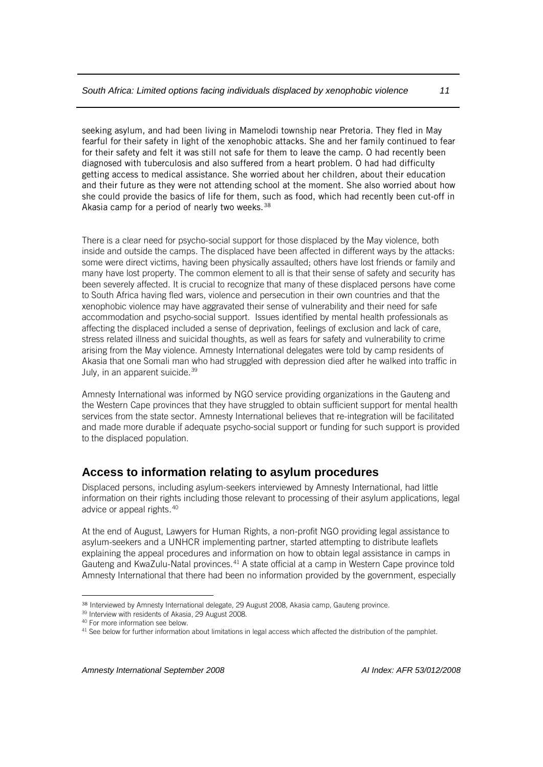seeking asylum, and had been living in Mamelodi township near Pretoria. They fled in May fearful for their safety in light of the xenophobic attacks. She and her family continued to fear for their safety and felt it was still not safe for them to leave the camp. O had recently been diagnosed with tuberculosis and also suffered from a heart problem. O had had difficulty getting access to medical assistance. She worried about her children, about their education and their future as they were not attending school at the moment. She also worried about how she could provide the basics of life for them, such as food, which had recently been cut-off in Akasia camp for a period of nearly two weeks.<sup>[38](#page-13-1)</sup>

There is a clear need for psycho-social support for those displaced by the May violence, both inside and outside the camps. The displaced have been affected in different ways by the attacks: some were direct victims, having been physically assaulted; others have lost friends or family and many have lost property. The common element to all is that their sense of safety and security has been severely affected. It is crucial to recognize that many of these displaced persons have come to South Africa having fled wars, violence and persecution in their own countries and that the xenophobic violence may have aggravated their sense of vulnerability and their need for safe accommodation and psycho-social support. Issues identified by mental health professionals as affecting the displaced included a sense of deprivation, feelings of exclusion and lack of care, stress related illness and suicidal thoughts, as well as fears for safety and vulnerability to crime arising from the May violence. Amnesty International delegates were told by camp residents of Akasia that one Somali man who had struggled with depression died after he walked into traffic in July, in an apparent suicide.<sup>[39](#page-13-2)</sup>

Amnesty International was informed by NGO service providing organizations in the Gauteng and the Western Cape provinces that they have struggled to obtain sufficient support for mental health services from the state sector. Amnesty International believes that re-integration will be facilitated and made more durable if adequate psycho-social support or funding for such support is provided to the displaced population.

## <span id="page-13-0"></span>**Access to information relating to asylum procedures**

Displaced persons, including asylum-seekers interviewed by Amnesty International, had little information on their rights including those relevant to processing of their asylum applications, legal advice or appeal rights.[40](#page-13-3)

At the end of August, Lawyers for Human Rights, a non-profit NGO providing legal assistance to asylum-seekers and a UNHCR implementing partner, started attempting to distribute leaflets explaining the appeal procedures and information on how to obtain legal assistance in camps in Gauteng and KwaZulu-Natal provinces.[41](#page-13-4) A state official at a camp in Western Cape province told Amnesty International that there had been no information provided by the government, especially

 $\overline{a}$ 38 Interviewed by Amnesty International delegate, 29 August 2008, Akasia camp, Gauteng province.

<span id="page-13-2"></span><span id="page-13-1"></span><sup>39</sup> Interview with residents of Akasia, 29 August 2008.

<span id="page-13-3"></span><sup>40</sup> For more information see below.

<span id="page-13-4"></span><sup>&</sup>lt;sup>41</sup> See below for further information about limitations in legal access which affected the distribution of the pamphlet.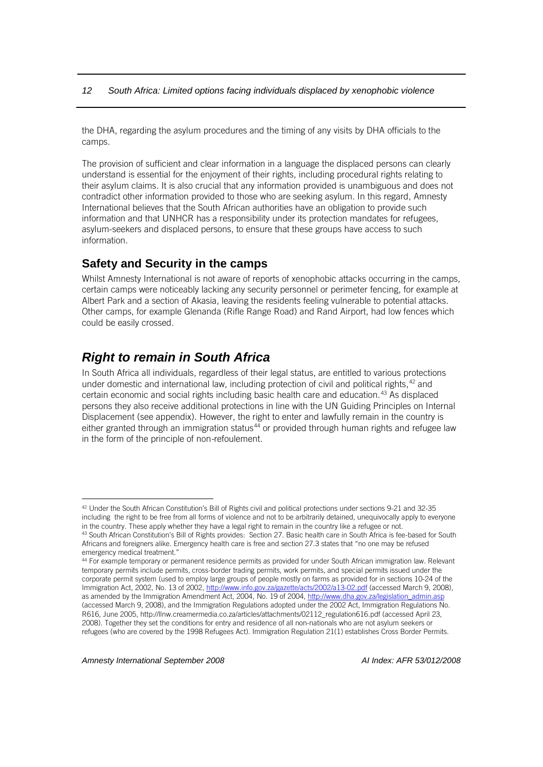the DHA, regarding the asylum procedures and the timing of any visits by DHA officials to the camps.

The provision of sufficient and clear information in a language the displaced persons can clearly understand is essential for the enjoyment of their rights, including procedural rights relating to their asylum claims. It is also crucial that any information provided is unambiguous and does not contradict other information provided to those who are seeking asylum. In this regard, Amnesty International believes that the South African authorities have an obligation to provide such information and that UNHCR has a responsibility under its protection mandates for refugees, asylum-seekers and displaced persons, to ensure that these groups have access to such information.

#### <span id="page-14-0"></span>**Safety and Security in the camps**

Whilst Amnesty International is not aware of reports of xenophobic attacks occurring in the camps, certain camps were noticeably lacking any security personnel or perimeter fencing, for example at Albert Park and a section of Akasia, leaving the residents feeling vulnerable to potential attacks. Other camps, for example Glenanda (Rifle Range Road) and Rand Airport, had low fences which could be easily crossed.

## <span id="page-14-1"></span>*Right to remain in South Africa*

In South Africa all individuals, regardless of their legal status, are entitled to various protections under domestic and international law, including protection of civil and political rights, <sup>[42](#page-14-2)</sup> and certain economic and social rights including basic health care and education.[43](#page-14-3) As displaced persons they also receive additional protections in line with the UN Guiding Principles on Internal Displacement (see appendix). However, the right to enter and lawfully remain in the country is either granted through an immigration status<sup>[44](#page-14-4)</sup> or provided through human rights and refugee law in the form of the principle of non*-*refoulement.

<span id="page-14-2"></span><sup>42</sup> Under the South African Constitution's Bill of Rights civil and political protections under sections 9-21 and 32-35 including the right to be free from all forms of violence and not to be arbitrarily detained, unequivocally apply to everyone

<span id="page-14-3"></span>in the country. These apply whether they have a legal right to remain in the country like a refugee or not.<br><sup>43</sup> South African Constitution's Bill of Rights provides: Section 27. Basic health care in South Africa is fee-ba Africans and foreigners alike. Emergency health care is free and section 27.3 states that "no one may be refused emergency medical treatment."

<span id="page-14-4"></span><sup>44</sup> For example temporary or permanent residence permits as provided for under South African immigration law. Relevant temporary permits include permits, cross-border trading permits, work permits, and special permits issued under the corporate permit system (used to employ large groups of people mostly on farms as provided for in sections 10-24 of the Immigration Act, 2002, No. 13 of 2002[, http://www.info.gov.za/gazette/acts/2002/a13-02.pdf](http://www.info.gov.za/gazette/acts/2002/a13-02.pdf) (accessed March 9, 2008), as amended by the Immigration Amendment Act, 2004, No. 19 of 2004[, http://www.dha.gov.za/legislation\\_admin.asp](http://www.dha.gov.za/legislation_admin.asp) (accessed March 9, 2008), and the Immigration Regulations adopted under the 2002 Act, Immigration Regulations No. R616, June 2005, http://llnw.creamermedia.co.za/articles/attachments/02112\_regulation616.pdf (accessed April 23, 2008). Together they set the conditions for entry and residence of all non-nationals who are not asylum seekers or refugees (who are covered by the 1998 Refugees Act). Immigration Regulation 21(1) establishes Cross Border Permits.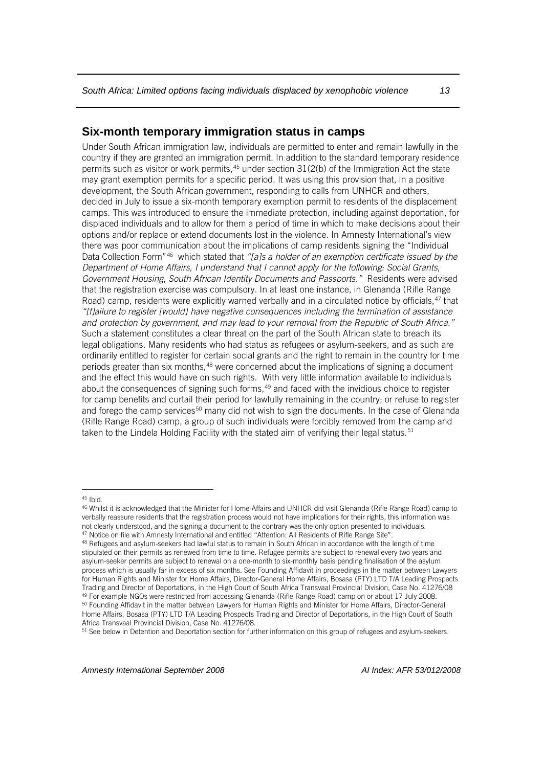#### <span id="page-15-0"></span>**Six-month temporary immigration status in camps**

Under South African immigration law, individuals are permitted to enter and remain lawfully in the country if they are granted an immigration permit. In addition to the standard temporary residence permits such as visitor or work permits,  $45$  under section  $31(2(b)$  of the Immigration Act the state may grant exemption permits for a specific period. It was using this provision that, in a positive development, the South African government, responding to calls from UNHCR and others, decided in July to issue a six-month temporary exemption permit to residents of the displacement camps. This was introduced to ensure the immediate protection, including against deportation, for displaced individuals and to allow for them a period of time in which to make decisions about their options and/or replace or extend documents lost in the violence. In Amnesty International's view there was poor communication about the implications of camp residents signing the "Individual Data Collection Form"[46](#page-15-2) which stated that *"[a]s a holder of an exemption certificate issued by the Department of Home Affairs, I understand that I cannot apply for the following: Social Grants, Government Housing, South African Identity Documents and Passports."* Residents were advised that the registration exercise was compulsory. In at least one instance, in Glenanda (Rifle Range Road) camp, residents were explicitly warned verbally and in a circulated notice by officials,<sup>[47](#page-15-3)</sup> that *"[f]ailure to register [would] have negative consequences including the termination of assistance and protection by government, and may lead to your removal from the Republic of South Africa."* Such a statement constitutes a clear threat on the part of the South African state to breach its legal obligations. Many residents who had status as refugees or asylum-seekers, and as such are ordinarily entitled to register for certain social grants and the right to remain in the country for time periods greater than six months,<sup>[48](#page-15-4)</sup> were concerned about the implications of signing a document and the effect this would have on such rights. With very little information available to individuals about the consequences of signing such forms,<sup>[49](#page-15-5)</sup> and faced with the invidious choice to register for camp benefits and curtail their period for lawfully remaining in the country; or refuse to register and forego the camp services<sup>[50](#page-15-6)</sup> many did not wish to sign the documents. In the case of Glenanda (Rifle Range Road) camp, a group of such individuals were forcibly removed from the camp and taken to the Lindela Holding Facility with the stated aim of verifying their legal status.<sup>51</sup>

<span id="page-15-2"></span><span id="page-15-1"></span>

<sup>&</sup>lt;sup>45</sup> Ibid.<br><sup>46</sup> Whilst it is acknowledged that the Minister for Home Affairs and UNHCR did visit Glenanda (Rifle Range Road) camp to verbally reassure residents that the registration process would not have implications for their rights, this information was not clearly understood, and the signing a document to the contrary was the only option presented to individuals.<br><sup>47</sup> Notice on file with Amnesty International and entitled "Attention: All Residents of Rifle Range Site".<br><sup></sup>

<span id="page-15-4"></span><span id="page-15-3"></span>stipulated on their permits as renewed from time to time. Refugee permits are subject to renewal every two years and asylum-seeker permits are subject to renewal on a one-month to six-monthly basis pending finalisation of the asylum process which is usually far in excess of six months. See Founding Affidavit in proceedings in the matter between Lawyers for Human Rights and Minister for Home Affairs, Director-General Home Affairs, Bosasa (PTY) LTD T/A Leading Prospects Trading and Director of Deportations, in the High Court of South Africa Transvaal Provincial Division, Case No. 41276/08<br><sup>49</sup> For example NGOs were restricted from accessing Glenanda (Rifle Range Road) camp on or about 17 Home Affairs, Bosasa (PTY) LTD T/A Leading Prospects Trading and Director of Deportations, in the High Court of South Africa Transvaal Provincial Division, Case No. 41276/08.

<span id="page-15-7"></span><span id="page-15-6"></span><span id="page-15-5"></span><sup>&</sup>lt;sup>51</sup> See below in Detention and Deportation section for further information on this group of refugees and asylum-seekers.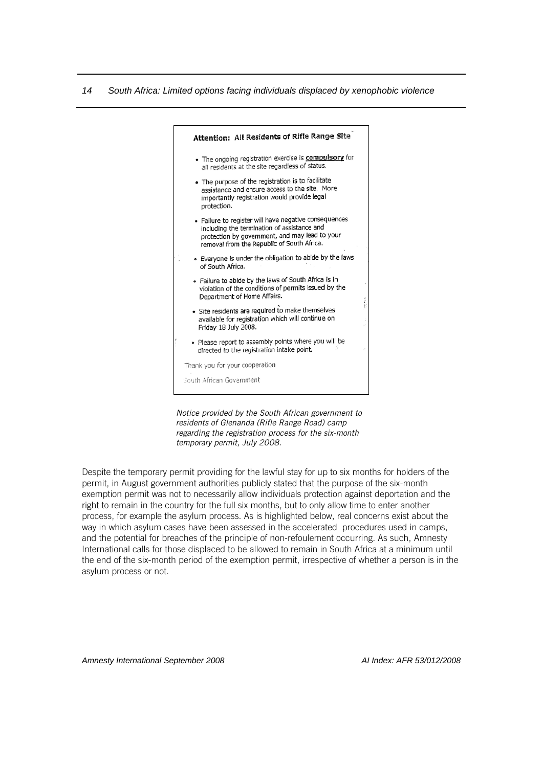

*Notice provided by the South African government to residents of Glenanda (Rifle Range Road) camp regarding the registration process for the six-month temporary permit, July 2008.*

Despite the temporary permit providing for the lawful stay for up to six months for holders of the permit, in August government authorities publicly stated that the purpose of the six-month exemption permit was not to necessarily allow individuals protection against deportation and the right to remain in the country for the full six months, but to only allow time to enter another process, for example the asylum process. As is highlighted below, real concerns exist about the way in which asylum cases have been assessed in the accelerated procedures used in camps, and the potential for breaches of the principle of non-refoulement occurring. As such, Amnesty International calls for those displaced to be allowed to remain in South Africa at a minimum until the end of the six-month period of the exemption permit, irrespective of whether a person is in the asylum process or not.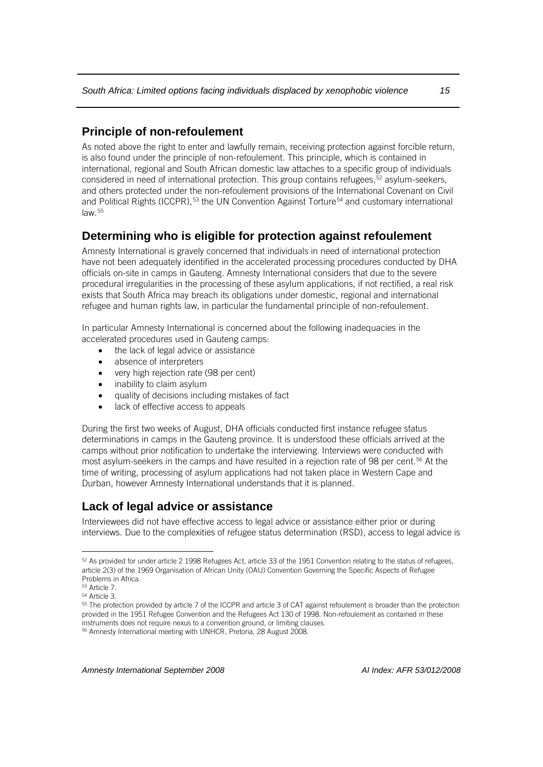## <span id="page-17-0"></span>**Principle of non-refoulement**

As noted above the right to enter and lawfully remain, receiving protection against forcible return, is also found under the principle of non-refoulement. This principle, which is contained in international, regional and South African domestic law attaches to a specific group of individuals considered in need of international protection. This group contains refugees,<sup>[52](#page-17-3)</sup> asylum-seekers, and others protected under the non-refoulement provisions of the International Covenant on Civil and Political Rights (ICCPR),  $53$  the UN Convention Against Torture<sup>[54](#page-17-5)</sup> and customary international law.[55](#page-17-6)

## <span id="page-17-1"></span>**Determining who is eligible for protection against refoulement**

Amnesty International is gravely concerned that individuals in need of international protection have not been adequately identified in the accelerated processing procedures conducted by DHA officials on-site in camps in Gauteng. Amnesty International considers that due to the severe procedural irregularities in the processing of these asylum applications, if not rectified, a real risk exists that South Africa may breach its obligations under domestic, regional and international refugee and human rights law, in particular the fundamental principle of non-refoulement.

In particular Amnesty International is concerned about the following inadequacies in the accelerated procedures used in Gauteng camps:

- the lack of legal advice or assistance
- absence of interpreters
- very high rejection rate (98 per cent)
- inability to claim asylum
- quality of decisions including mistakes of fact
- lack of effective access to appeals

During the first two weeks of August, DHA officials conducted first instance refugee status determinations in camps in the Gauteng province. It is understood these officials arrived at the camps without prior notification to undertake the interviewing. Interviews were conducted with most asylum-seekers in the camps and have resulted in a rejection rate of 98 per cent.<sup>[56](#page-17-7)</sup> At the time of writing, processing of asylum applications had not taken place in Western Cape and Durban, however Amnesty International understands that it is planned.

## <span id="page-17-2"></span>**Lack of legal advice or assistance**

Interviewees did not have effective access to legal advice or assistance either prior or during interviews. Due to the complexities of refugee status determination (RSD), access to legal advice is

 $\overline{a}$ 

<span id="page-17-3"></span><sup>52</sup> As provided for under article 2 1998 Refugees Act, article 33 of the 1951 Convention relating to the status of refugees, article 2(3) of the 1969 Organisation of African Unity (OAU) Convention Governing the Specific Aspects of Refugee Problems in Africa.

<span id="page-17-4"></span> $53$  Article 7.<br> $54$  Article 3.

<span id="page-17-7"></span><span id="page-17-6"></span><span id="page-17-5"></span><sup>&</sup>lt;sup>55</sup> The protection provided by article 7 of the ICCPR and article 3 of CAT against refoulement is broader than the protection provided in the 1951 Refugee Convention and the Refugees Act 130 of 1998. Non-refoulement as contained in these instruments does not require nexus to a convention ground, or limiting clauses.<br><sup>56</sup> Amnesty International meeting with UNHCR, Pretoria, 28 August 2008.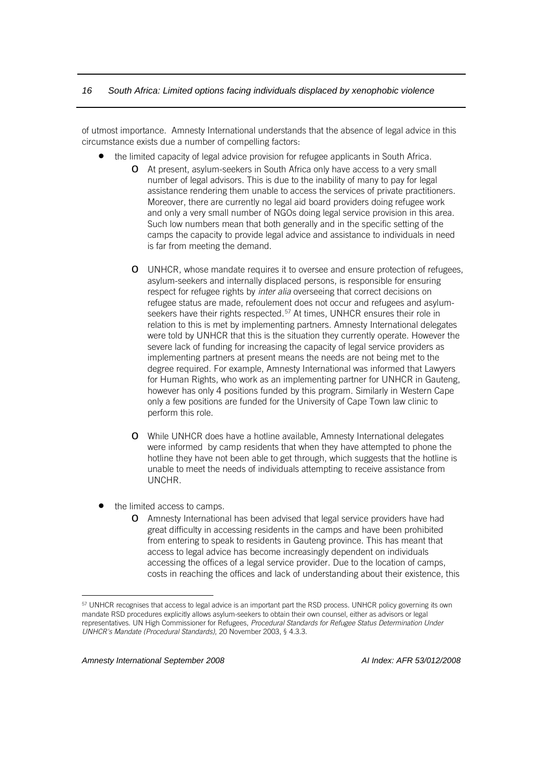of utmost importance. Amnesty International understands that the absence of legal advice in this circumstance exists due a number of compelling factors:

- the limited capacity of legal advice provision for refugee applicants in South Africa.
	- o At present, asylum-seekers in South Africa only have access to a very small number of legal advisors. This is due to the inability of many to pay for legal assistance rendering them unable to access the services of private practitioners. Moreover, there are currently no legal aid board providers doing refugee work and only a very small number of NGOs doing legal service provision in this area. Such low numbers mean that both generally and in the specific setting of the camps the capacity to provide legal advice and assistance to individuals in need is far from meeting the demand.
	- o UNHCR, whose mandate requires it to oversee and ensure protection of refugees, asylum-seekers and internally displaced persons, is responsible for ensuring respect for refugee rights by *inter alia* overseeing that correct decisions on refugee status are made, refoulement does not occur and refugees and asylum-seekers have their rights respected.<sup>[57](#page-18-0)</sup> At times, UNHCR ensures their role in relation to this is met by implementing partners. Amnesty International delegates were told by UNHCR that this is the situation they currently operate. However the severe lack of funding for increasing the capacity of legal service providers as implementing partners at present means the needs are not being met to the degree required. For example, Amnesty International was informed that Lawyers for Human Rights, who work as an implementing partner for UNHCR in Gauteng, however has only 4 positions funded by this program. Similarly in Western Cape only a few positions are funded for the University of Cape Town law clinic to perform this role.
	- o While UNHCR does have a hotline available, Amnesty International delegates were informed by camp residents that when they have attempted to phone the hotline they have not been able to get through, which suggests that the hotline is unable to meet the needs of individuals attempting to receive assistance from UNCHR.
- the limited access to camps.
	- o Amnesty International has been advised that legal service providers have had great difficulty in accessing residents in the camps and have been prohibited from entering to speak to residents in Gauteng province. This has meant that access to legal advice has become increasingly dependent on individuals accessing the offices of a legal service provider. Due to the location of camps, costs in reaching the offices and lack of understanding about their existence, this

<span id="page-18-0"></span><sup>&</sup>lt;sup>57</sup> UNHCR recognises that access to legal advice is an important part the RSD process. UNHCR policy governing its own mandate RSD procedures explicitly allows asylum-seekers to obtain their own counsel, either as advisors or legal representatives. UN High Commissioner for Refugees, *Procedural Standards for Refugee Status Determination Under UNHCR's Mandate (Procedural Standards)*, 20 November 2003, § 4.3.3.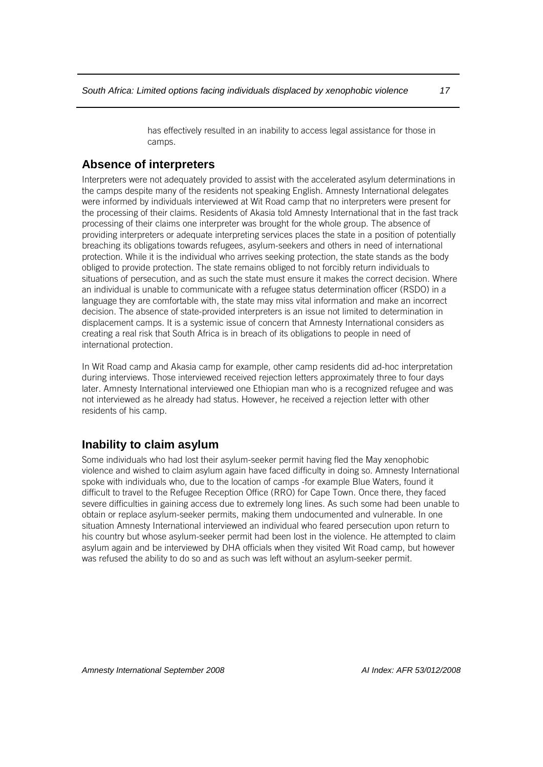has effectively resulted in an inability to access legal assistance for those in camps.

## <span id="page-19-0"></span>**Absence of interpreters**

Interpreters were not adequately provided to assist with the accelerated asylum determinations in the camps despite many of the residents not speaking English. Amnesty International delegates were informed by individuals interviewed at Wit Road camp that no interpreters were present for the processing of their claims. Residents of Akasia told Amnesty International that in the fast track processing of their claims one interpreter was brought for the whole group. The absence of providing interpreters or adequate interpreting services places the state in a position of potentially breaching its obligations towards refugees, asylum-seekers and others in need of international protection. While it is the individual who arrives seeking protection, the state stands as the body obliged to provide protection. The state remains obliged to not forcibly return individuals to situations of persecution, and as such the state must ensure it makes the correct decision. Where an individual is unable to communicate with a refugee status determination officer (RSDO) in a language they are comfortable with, the state may miss vital information and make an incorrect decision. The absence of state-provided interpreters is an issue not limited to determination in displacement camps. It is a systemic issue of concern that Amnesty International considers as creating a real risk that South Africa is in breach of its obligations to people in need of international protection.

In Wit Road camp and Akasia camp for example, other camp residents did ad-hoc interpretation during interviews. Those interviewed received rejection letters approximately three to four days later. Amnesty International interviewed one Ethiopian man who is a recognized refugee and was not interviewed as he already had status. However, he received a rejection letter with other residents of his camp.

## <span id="page-19-1"></span>**Inability to claim asylum**

Some individuals who had lost their asylum-seeker permit having fled the May xenophobic violence and wished to claim asylum again have faced difficulty in doing so. Amnesty International spoke with individuals who, due to the location of camps -for example Blue Waters, found it difficult to travel to the Refugee Reception Office (RRO) for Cape Town. Once there, they faced severe difficulties in gaining access due to extremely long lines. As such some had been unable to obtain or replace asylum-seeker permits, making them undocumented and vulnerable. In one situation Amnesty International interviewed an individual who feared persecution upon return to his country but whose asylum-seeker permit had been lost in the violence. He attempted to claim asylum again and be interviewed by DHA officials when they visited Wit Road camp, but however was refused the ability to do so and as such was left without an asylum-seeker permit.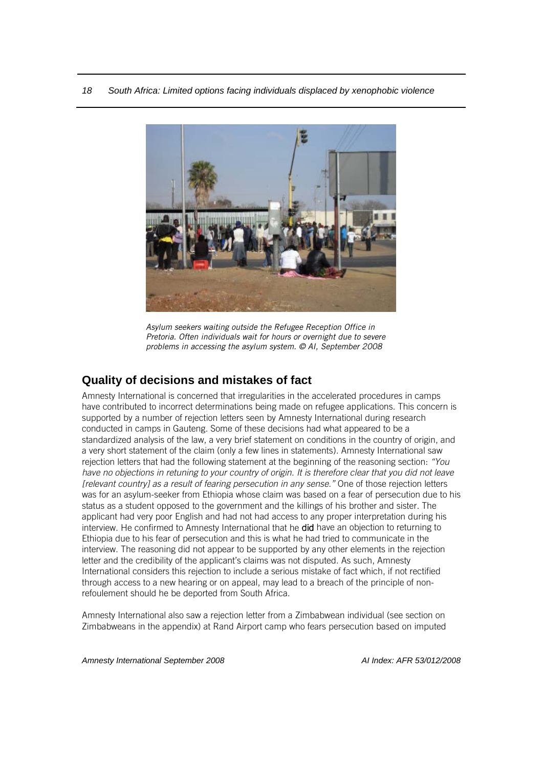<span id="page-20-0"></span>

*Asylum seekers waiting outside the Refugee Reception Office in Pretoria. Often individuals wait for hours or overnight due to severe problems in accessing the asylum system. © AI, September 2008*

## **Quality of decisions and mistakes of fact**

Amnesty International is concerned that irregularities in the accelerated procedures in camps have contributed to incorrect determinations being made on refugee applications. This concern is supported by a number of rejection letters seen by Amnesty International during research conducted in camps in Gauteng. Some of these decisions had what appeared to be a standardized analysis of the law, a very brief statement on conditions in the country of origin, and a very short statement of the claim (only a few lines in statements). Amnesty International saw rejection letters that had the following statement at the beginning of the reasoning section: *"You have no objections in retuning to your country of origin. It is therefore clear that you did not leave [relevant country] as a result of fearing persecution in any sense."* One of those rejection letters was for an asylum-seeker from Ethiopia whose claim was based on a fear of persecution due to his status as a student opposed to the government and the killings of his brother and sister. The applicant had very poor English and had not had access to any proper interpretation during his interview. He confirmed to Amnesty International that he did have an objection to returning to Ethiopia due to his fear of persecution and this is what he had tried to communicate in the interview. The reasoning did not appear to be supported by any other elements in the rejection letter and the credibility of the applicant's claims was not disputed. As such, Amnesty International considers this rejection to include a serious mistake of fact which, if not rectified through access to a new hearing or on appeal, may lead to a breach of the principle of nonrefoulement should he be deported from South Africa.

Amnesty International also saw a rejection letter from a Zimbabwean individual (see section on Zimbabweans in the appendix) at Rand Airport camp who fears persecution based on imputed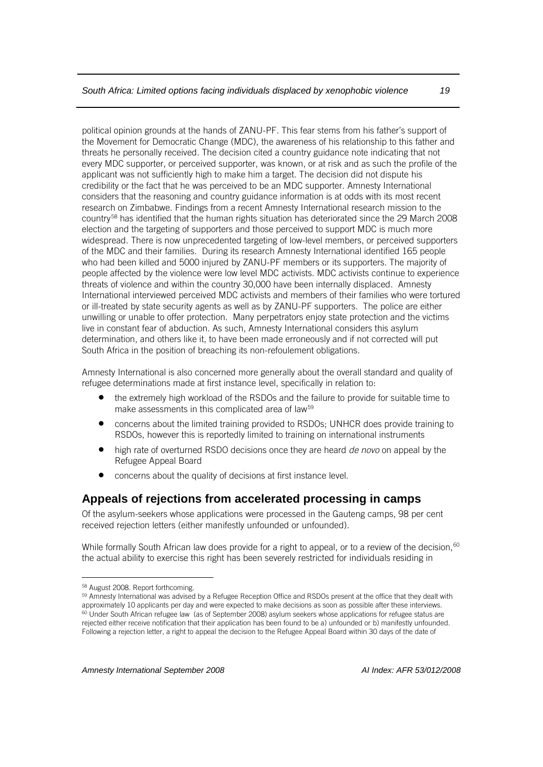political opinion grounds at the hands of ZANU-PF. This fear stems from his father's support of the Movement for Democratic Change (MDC), the awareness of his relationship to this father and threats he personally received. The decision cited a country guidance note indicating that not every MDC supporter, or perceived supporter, was known, or at risk and as such the profile of the applicant was not sufficiently high to make him a target. The decision did not dispute his credibility or the fact that he was perceived to be an MDC supporter. Amnesty International considers that the reasoning and country guidance information is at odds with its most recent research on Zimbabwe. Findings from a recent Amnesty International research mission to the country[58](#page-21-1) has identified that the human rights situation has deteriorated since the 29 March 2008 election and the targeting of supporters and those perceived to support MDC is much more widespread. There is now unprecedented targeting of low-level members, or perceived supporters of the MDC and their families. During its research Amnesty International identified 165 people who had been killed and 5000 injured by ZANU-PF members or its supporters. The majority of people affected by the violence were low level MDC activists. MDC activists continue to experience threats of violence and within the country 30,000 have been internally displaced. Amnesty International interviewed perceived MDC activists and members of their families who were tortured or ill-treated by state security agents as well as by ZANU-PF supporters. The police are either unwilling or unable to offer protection. Many perpetrators enjoy state protection and the victims live in constant fear of abduction. As such, Amnesty International considers this asylum determination, and others like it, to have been made erroneously and if not corrected will put South Africa in the position of breaching its non-refoulement obligations.

Amnesty International is also concerned more generally about the overall standard and quality of refugee determinations made at first instance level, specifically in relation to:

- the extremely high workload of the RSDOs and the failure to provide for suitable time to make assessments in this complicated area of law<sup>[59](#page-21-2)</sup>
- concerns about the limited training provided to RSDOs; UNHCR does provide training to RSDOs, however this is reportedly limited to training on international instruments
- high rate of overturned RSDO decisions once they are heard *de novo* on appeal by the Refugee Appeal Board
- concerns about the quality of decisions at first instance level.

#### <span id="page-21-0"></span>**Appeals of rejections from accelerated processing in camps**

Of the asylum-seekers whose applications were processed in the Gauteng camps, 98 per cent received rejection letters (either manifestly unfounded or unfounded).

While formally South African law does provide for a right to appeal, or to a review of the decision,<sup>[60](#page-21-3)</sup> the actual ability to exercise this right has been severely restricted for individuals residing in

<span id="page-21-3"></span>

<span id="page-21-2"></span><span id="page-21-1"></span><sup>&</sup>lt;sup>58</sup> August 2008. Report forthcoming.<br><sup>59</sup> Amnesty International was advised by a Refugee Reception Office and RSDOs present at the office that they dealt with approximately 10 applicants per day and were expected to make decisions as soon as possible after these interviews. <sup>60</sup> Under South African refugee law (as of September 2008) asylum seekers whose applications for refugee status are rejected either receive notification that their application has been found to be a) unfounded or b) manifestly unfounded. Following a rejection letter, a right to appeal the decision to the Refugee Appeal Board within 30 days of the date of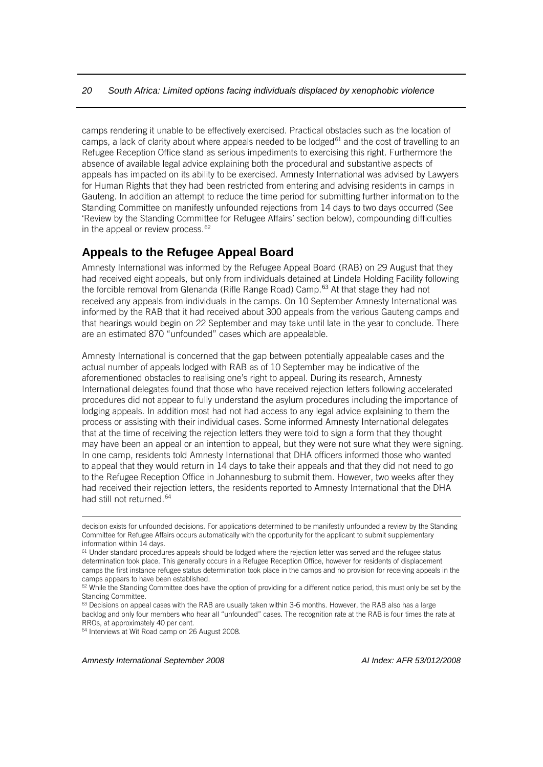camps rendering it unable to be effectively exercised. Practical obstacles such as the location of camps, a lack of clarity about where appeals needed to be lodged<sup>[61](#page-22-1)</sup> and the cost of travelling to an Refugee Reception Office stand as serious impediments to exercising this right. Furthermore the absence of available legal advice explaining both the procedural and substantive aspects of appeals has impacted on its ability to be exercised. Amnesty International was advised by Lawyers for Human Rights that they had been restricted from entering and advising residents in camps in Gauteng. In addition an attempt to reduce the time period for submitting further information to the Standing Committee on manifestly unfounded rejections from 14 days to two days occurred (See 'Review by the Standing Committee for Refugee Affairs' section below), compounding difficulties in the appeal or review process.<sup>[62](#page-22-2)</sup>

#### <span id="page-22-0"></span>**Appeals to the Refugee Appeal Board**

Amnesty International was informed by the Refugee Appeal Board (RAB) on 29 August that they had received eight appeals, but only from individuals detained at Lindela Holding Facility following the forcible removal from Glenanda (Rifle Range Road) Camp. $63$  At that stage they had not received any appeals from individuals in the camps. On 10 September Amnesty International was informed by the RAB that it had received about 300 appeals from the various Gauteng camps and that hearings would begin on 22 September and may take until late in the year to conclude. There are an estimated 870 "unfounded" cases which are appealable.

Amnesty International is concerned that the gap between potentially appealable cases and the actual number of appeals lodged with RAB as of 10 September may be indicative of the aforementioned obstacles to realising one's right to appeal. During its research, Amnesty International delegates found that those who have received rejection letters following accelerated procedures did not appear to fully understand the asylum procedures including the importance of lodging appeals. In addition most had not had access to any legal advice explaining to them the process or assisting with their individual cases. Some informed Amnesty International delegates that at the time of receiving the rejection letters they were told to sign a form that they thought may have been an appeal or an intention to appeal, but they were not sure what they were signing. In one camp, residents told Amnesty International that DHA officers informed those who wanted to appeal that they would return in 14 days to take their appeals and that they did not need to go to the Refugee Reception Office in Johannesburg to submit them. However, two weeks after they had received their rejection letters, the residents reported to Amnesty International that the DHA had still not returned.<sup>[64](#page-22-4)</sup>

<span id="page-22-4"></span><sup>64</sup> Interviews at Wit Road camp on 26 August 2008.

*Amnesty International September 2008 AI Index: AFR 53/012/2008*

decision exists for unfounded decisions. For applications determined to be manifestly unfounded a review by the Standing Committee for Refugee Affairs occurs automatically with the opportunity for the applicant to submit supplementary information within 14 days.

<span id="page-22-1"></span><sup>&</sup>lt;sup>61</sup> Under standard procedures appeals should be lodged where the rejection letter was served and the refugee status determination took place. This generally occurs in a Refugee Reception Office, however for residents of displacement camps the first instance refugee status determination took place in the camps and no provision for receiving appeals in the camps appears to have been established.

<span id="page-22-2"></span><sup>&</sup>lt;sup>62</sup> While the Standing Committee does have the option of providing for a different notice period, this must only be set by the Standing Committee.

<span id="page-22-3"></span> $63$  Decisions on appeal cases with the RAB are usually taken within 3-6 months. However, the RAB also has a large backlog and only four members who hear all "unfounded" cases. The recognition rate at the RAB is four times the rate at RROs, at approximately 40 per cent.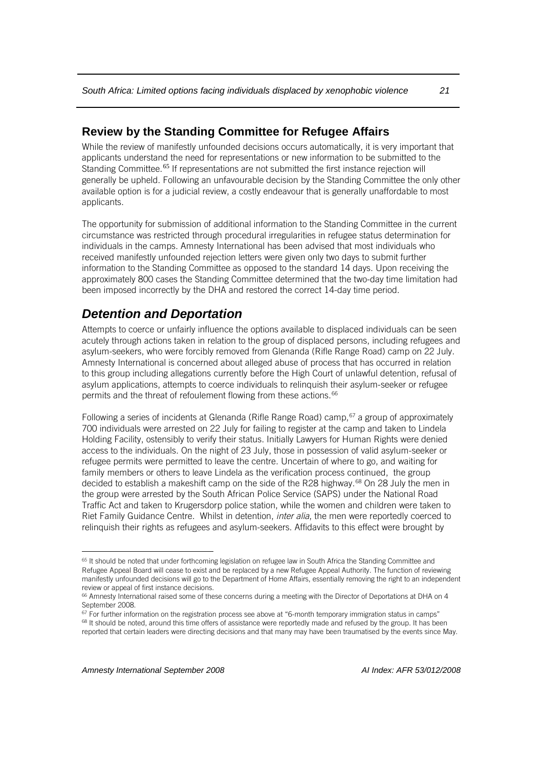## <span id="page-23-0"></span>**Review by the Standing Committee for Refugee Affairs**

While the review of manifestly unfounded decisions occurs automatically, it is very important that applicants understand the need for representations or new information to be submitted to the Standing Committee.<sup>[65](#page-23-2)</sup> If representations are not submitted the first instance rejection will generally be upheld. Following an unfavourable decision by the Standing Committee the only other available option is for a judicial review, a costly endeavour that is generally unaffordable to most applicants.

The opportunity for submission of additional information to the Standing Committee in the current circumstance was restricted through procedural irregularities in refugee status determination for individuals in the camps. Amnesty International has been advised that most individuals who received manifestly unfounded rejection letters were given only two days to submit further information to the Standing Committee as opposed to the standard 14 days. Upon receiving the approximately 800 cases the Standing Committee determined that the two-day time limitation had been imposed incorrectly by the DHA and restored the correct 14-day time period.

## <span id="page-23-1"></span>*Detention and Deportation*

Attempts to coerce or unfairly influence the options available to displaced individuals can be seen acutely through actions taken in relation to the group of displaced persons, including refugees and asylum-seekers, who were forcibly removed from Glenanda (Rifle Range Road) camp on 22 July. Amnesty International is concerned about alleged abuse of process that has occurred in relation to this group including allegations currently before the High Court of unlawful detention, refusal of asylum applications, attempts to coerce individuals to relinquish their asylum-seeker or refugee permits and the threat of refoulement flowing from these actions.<sup>[66](#page-23-3)</sup>

Following a series of incidents at Glenanda (Rifle Range Road) camp,  $67$  a group of approximately 700 individuals were arrested on 22 July for failing to register at the camp and taken to Lindela Holding Facility, ostensibly to verify their status. Initially Lawyers for Human Rights were denied access to the individuals. On the night of 23 July, those in possession of valid asylum-seeker or refugee permits were permitted to leave the centre. Uncertain of where to go, and waiting for family members or others to leave Lindela as the verification process continued, the group decided to establish a makeshift camp on the side of the R28 highway.<sup>[68](#page-23-5)</sup> On 28 July the men in the group were arrested by the South African Police Service (SAPS) under the National Road Traffic Act and taken to Krugersdorp police station, while the women and children were taken to Riet Family Guidance Centre. Whilst in detention, *inter alia*, the men were reportedly coerced to relinquish their rights as refugees and asylum-seekers. Affidavits to this effect were brought by

<span id="page-23-2"></span><sup>65</sup> It should be noted that under forthcoming legislation on refugee law in South Africa the Standing Committee and Refugee Appeal Board will cease to exist and be replaced by a new Refugee Appeal Authority. The function of reviewing manifestly unfounded decisions will go to the Department of Home Affairs, essentially removing the right to an independent review or appeal of first instance decisions.

<span id="page-23-3"></span><sup>66</sup> Amnesty International raised some of these concerns during a meeting with the Director of Deportations at DHA on 4 September 2008.

 $67$  For further information on the registration process see above at "6-month temporary immigration status in camps"

<span id="page-23-5"></span><span id="page-23-4"></span><sup>68</sup> It should be noted, around this time offers of assistance were reportedly made and refused by the group. It has been reported that certain leaders were directing decisions and that many may have been traumatised by the events since May.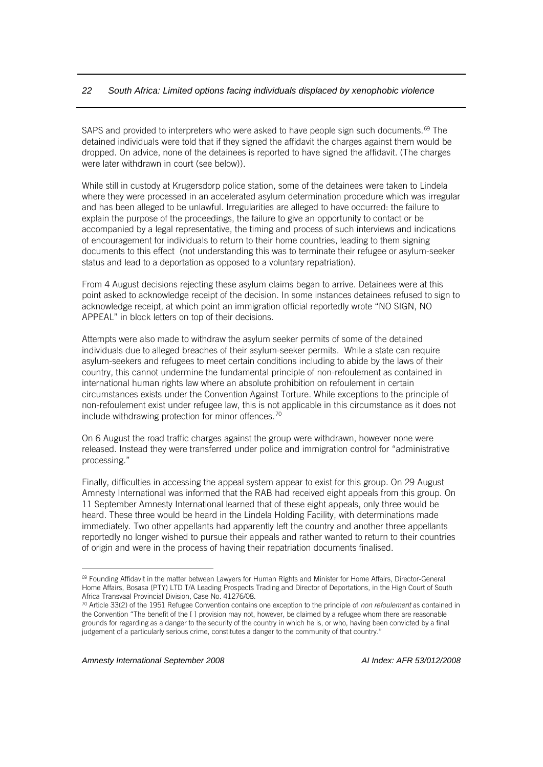SAPS and provided to interpreters who were asked to have people sign such documents.<sup>[69](#page-24-0)</sup> The detained individuals were told that if they signed the affidavit the charges against them would be dropped. On advice, none of the detainees is reported to have signed the affidavit. (The charges were later withdrawn in court (see below)).

While still in custody at Krugersdorp police station, some of the detainees were taken to Lindela where they were processed in an accelerated asylum determination procedure which was irregular and has been alleged to be unlawful. Irregularities are alleged to have occurred: the failure to explain the purpose of the proceedings, the failure to give an opportunity to contact or be accompanied by a legal representative, the timing and process of such interviews and indications of encouragement for individuals to return to their home countries, leading to them signing documents to this effect (not understanding this was to terminate their refugee or asylum-seeker status and lead to a deportation as opposed to a voluntary repatriation).

From 4 August decisions rejecting these asylum claims began to arrive. Detainees were at this point asked to acknowledge receipt of the decision. In some instances detainees refused to sign to acknowledge receipt, at which point an immigration official reportedly wrote "NO SIGN, NO APPEAL" in block letters on top of their decisions.

Attempts were also made to withdraw the asylum seeker permits of some of the detained individuals due to alleged breaches of their asylum-seeker permits. While a state can require asylum-seekers and refugees to meet certain conditions including to abide by the laws of their country, this cannot undermine the fundamental principle of non-refoulement as contained in international human rights law where an absolute prohibition on refoulement in certain circumstances exists under the Convention Against Torture. While exceptions to the principle of non-refoulement exist under refugee law, this is not applicable in this circumstance as it does not include withdrawing protection for minor offences.<sup>[70](#page-24-1)</sup>

On 6 August the road traffic charges against the group were withdrawn, however none were released. Instead they were transferred under police and immigration control for "administrative processing."

Finally, difficulties in accessing the appeal system appear to exist for this group. On 29 August Amnesty International was informed that the RAB had received eight appeals from this group. On 11 September Amnesty International learned that of these eight appeals, only three would be heard. These three would be heard in the Lindela Holding Facility, with determinations made immediately. Two other appellants had apparently left the country and another three appellants reportedly no longer wished to pursue their appeals and rather wanted to return to their countries of origin and were in the process of having their repatriation documents finalised.

<span id="page-24-0"></span><sup>69</sup> Founding Affidavit in the matter between Lawyers for Human Rights and Minister for Home Affairs, Director-General Home Affairs, Bosasa (PTY) LTD T/A Leading Prospects Trading and Director of Deportations, in the High Court of South Africa Transvaal Provincial Division, Case No. 41276/08.

<span id="page-24-1"></span><sup>70</sup> Article 33(2) of the 1951 Refugee Convention contains one exception to the principle of *non refoulement* as contained in the Convention "The benefit of the [ ] provision may not, however, be claimed by a refugee whom there are reasonable grounds for regarding as a danger to the security of the country in which he is, or who, having been convicted by a final judgement of a particularly serious crime, constitutes a danger to the community of that country."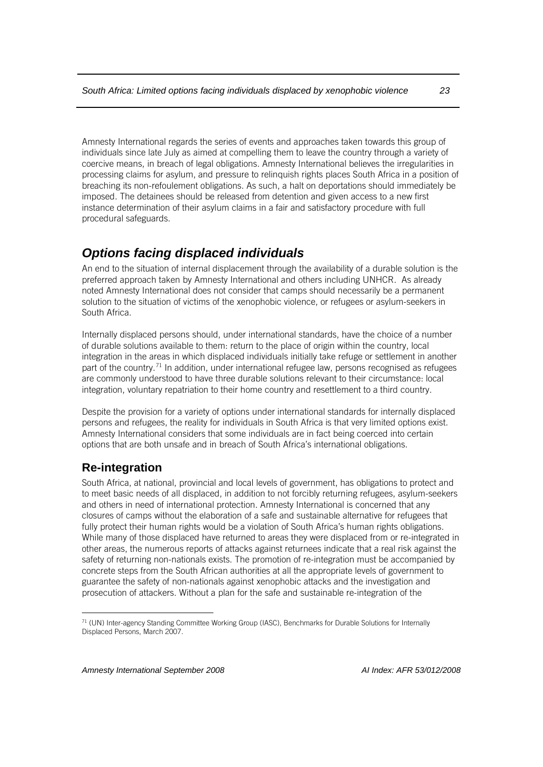Amnesty International regards the series of events and approaches taken towards this group of individuals since late July as aimed at compelling them to leave the country through a variety of coercive means, in breach of legal obligations. Amnesty International believes the irregularities in processing claims for asylum, and pressure to relinquish rights places South Africa in a position of breaching its non-refoulement obligations. As such, a halt on deportations should immediately be imposed. The detainees should be released from detention and given access to a new first instance determination of their asylum claims in a fair and satisfactory procedure with full procedural safeguards.

## <span id="page-25-0"></span>*Options facing displaced individuals*

An end to the situation of internal displacement through the availability of a durable solution is the preferred approach taken by Amnesty International and others including UNHCR. As already noted Amnesty International does not consider that camps should necessarily be a permanent solution to the situation of victims of the xenophobic violence, or refugees or asylum-seekers in South Africa.

Internally displaced persons should, under international standards, have the choice of a number of durable solutions available to them: return to the place of origin within the country, local integration in the areas in which displaced individuals initially take refuge or settlement in another part of the country.<sup>[71](#page-25-2)</sup> In addition, under international refugee law, persons recognised as refugees are commonly understood to have three durable solutions relevant to their circumstance: local integration, voluntary repatriation to their home country and resettlement to a third country.

Despite the provision for a variety of options under international standards for internally displaced persons and refugees, the reality for individuals in South Africa is that very limited options exist. Amnesty International considers that some individuals are in fact being coerced into certain options that are both unsafe and in breach of South Africa's international obligations.

## <span id="page-25-1"></span>**Re-integration**

 $\overline{a}$ 

South Africa, at national, provincial and local levels of government, has obligations to protect and to meet basic needs of all displaced, in addition to not forcibly returning refugees, asylum-seekers and others in need of international protection. Amnesty International is concerned that any closures of camps without the elaboration of a safe and sustainable alternative for refugees that fully protect their human rights would be a violation of South Africa's human rights obligations. While many of those displaced have returned to areas they were displaced from or re-integrated in other areas, the numerous reports of attacks against returnees indicate that a real risk against the safety of returning non-nationals exists. The promotion of re-integration must be accompanied by concrete steps from the South African authorities at all the appropriate levels of government to guarantee the safety of non-nationals against xenophobic attacks and the investigation and prosecution of attackers. Without a plan for the safe and sustainable re-integration of the

<span id="page-25-2"></span><sup>71</sup> (UN) Inter-agency Standing Committee Working Group (IASC), Benchmarks for Durable Solutions for Internally Displaced Persons, March 2007.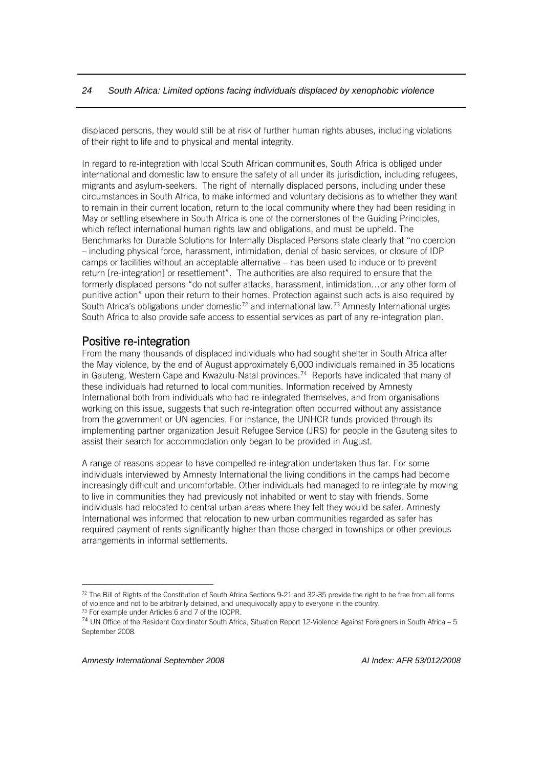displaced persons, they would still be at risk of further human rights abuses, including violations of their right to life and to physical and mental integrity.

In regard to re-integration with local South African communities, South Africa is obliged under international and domestic law to ensure the safety of all under its jurisdiction, including refugees, migrants and asylum-seekers. The right of internally displaced persons, including under these circumstances in South Africa, to make informed and voluntary decisions as to whether they want to remain in their current location, return to the local community where they had been residing in May or settling elsewhere in South Africa is one of the cornerstones of the Guiding Principles, which reflect international human rights law and obligations, and must be upheld. The Benchmarks for Durable Solutions for Internally Displaced Persons state clearly that "no coercion – including physical force, harassment, intimidation, denial of basic services, or closure of IDP camps or facilities without an acceptable alternative – has been used to induce or to prevent return [re-integration] or resettlement". The authorities are also required to ensure that the formerly displaced persons "do not suffer attacks, harassment, intimidation…or any other form of punitive action" upon their return to their homes. Protection against such acts is also required by South Africa's obligations under domestic<sup>[72](#page-26-0)</sup> and international law.<sup>[73](#page-26-1)</sup> Amnesty International urges South Africa to also provide safe access to essential services as part of any re-integration plan.

**Positive re-integration**<br>From the many thousands of displaced individuals who had sought shelter in South Africa after the May violence, by the end of August approximately 6,000 individuals remained in 35 locations in Gauteng, Western Cape and Kwazulu-Natal provinces.[74](#page-26-2) Reports have indicated that many of these individuals had returned to local communities. Information received by Amnesty International both from individuals who had re-integrated themselves, and from organisations working on this issue, suggests that such re-integration often occurred without any assistance from the government or UN agencies. For instance, the UNHCR funds provided through its implementing partner organization Jesuit Refugee Service (JRS) for people in the Gauteng sites to assist their search for accommodation only began to be provided in August.

A range of reasons appear to have compelled re-integration undertaken thus far. For some individuals interviewed by Amnesty International the living conditions in the camps had become increasingly difficult and uncomfortable. Other individuals had managed to re-integrate by moving to live in communities they had previously not inhabited or went to stay with friends. Some individuals had relocated to central urban areas where they felt they would be safer. Amnesty International was informed that relocation to new urban communities regarded as safer has required payment of rents significantly higher than those charged in townships or other previous arrangements in informal settlements.

<span id="page-26-0"></span><sup>72</sup> The Bill of Rights of the Constitution of South Africa Sections 9-21 and 32-35 provide the right to be free from all forms of violence and not to be arbitrarily detained, and unequivocally apply to everyone in the country.

<sup>73</sup> For example under Articles 6 and 7 of the ICCPR.

<span id="page-26-2"></span><span id="page-26-1"></span><sup>74</sup> UN Office of the Resident Coordinator South Africa, Situation Report 12-Violence Against Foreigners in South Africa – 5 September 2008.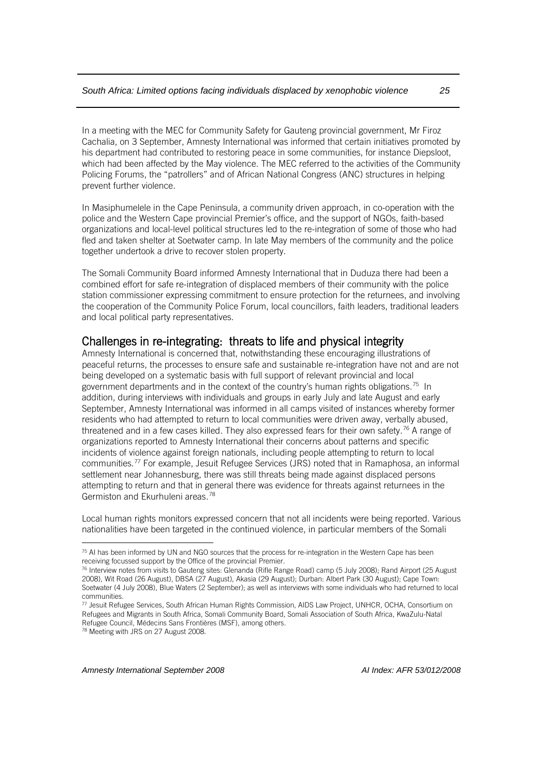In a meeting with the MEC for Community Safety for Gauteng provincial government, Mr Firoz Cachalia, on 3 September, Amnesty International was informed that certain initiatives promoted by his department had contributed to restoring peace in some communities, for instance Diepsloot, which had been affected by the May violence. The MEC referred to the activities of the Community Policing Forums, the "patrollers" and of African National Congress (ANC) structures in helping prevent further violence.

In Masiphumelele in the Cape Peninsula, a community driven approach, in co-operation with the police and the Western Cape provincial Premier's office, and the support of NGOs, faith-based organizations and local-level political structures led to the re-integration of some of those who had fled and taken shelter at Soetwater camp. In late May members of the community and the police together undertook a drive to recover stolen property.

The Somali Community Board informed Amnesty International that in Duduza there had been a combined effort for safe re-integration of displaced members of their community with the police station commissioner expressing commitment to ensure protection for the returnees, and involving the cooperation of the Community Police Forum, local councillors, faith leaders, traditional leaders and local political party representatives.

## Challenges in re-integrating: threats to life and physical integrity<br>Amnesty International is concerned that, notwithstanding these encouraging illustrations of

peaceful returns, the processes to ensure safe and sustainable re-integration have not and are not being developed on a systematic basis with full support of relevant provincial and local government departments and in the context of the country's human rights obligations.[75](#page-27-0) In addition, during interviews with individuals and groups in early July and late August and early September, Amnesty International was informed in all camps visited of instances whereby former residents who had attempted to return to local communities were driven away, verbally abused, threatened and in a few cases killed. They also expressed fears for their own safety.<sup>[76](#page-27-1)</sup> A range of organizations reported to Amnesty International their concerns about patterns and specific incidents of violence against foreign nationals, including people attempting to return to local communities.[77](#page-27-2) For example, Jesuit Refugee Services (JRS) noted that in Ramaphosa, an informal settlement near Johannesburg, there was still threats being made against displaced persons attempting to return and that in general there was evidence for threats against returnees in the Germiston and Ekurhuleni areas.[78](#page-27-3)

Local human rights monitors expressed concern that not all incidents were being reported. Various nationalities have been targeted in the continued violence, in particular members of the Somali

 $\overline{a}$ 

<span id="page-27-0"></span><sup>&</sup>lt;sup>75</sup> AI has been informed by UN and NGO sources that the process for re-integration in the Western Cape has been receiving focussed support by the Office of the provincial Premier.

<span id="page-27-1"></span><sup>76</sup> Interview notes from visits to Gauteng sites: Glenanda (Rifle Range Road) camp (5 July 2008); Rand Airport (25 August 2008), Wit Road (26 August), DBSA (27 August), Akasia (29 August); Durban: Albert Park (30 August); Cape Town: Soetwater (4 July 2008), Blue Waters (2 September); as well as interviews with some individuals who had returned to local communities.

<span id="page-27-2"></span><sup>77</sup> Jesuit Refugee Services, South African Human Rights Commission, AIDS Law Project, UNHCR, OCHA, Consortium on Refugees and Migrants in South Africa, Somali Community Board, Somali Association of South Africa, KwaZulu-Natal Refugee Council, Médecins Sans Frontières (MSF), among others.

<span id="page-27-3"></span><sup>78</sup> Meeting with JRS on 27 August 2008.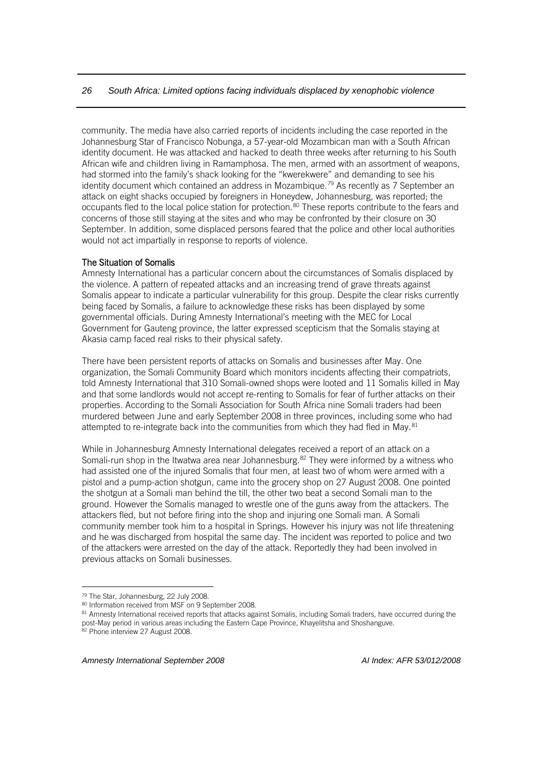community. The media have also carried reports of incidents including the case reported in the Johannesburg Star of Francisco Nobunga, a 57-year-old Mozambican man with a South African identity document. He was attacked and hacked to death three weeks after returning to his South African wife and children living in Ramamphosa. The men, armed with an assortment of weapons, had stormed into the family's shack looking for the "kwerekwere" and demanding to see his identity document which contained an address in Mozambique.<sup>[79](#page-28-0)</sup> As recently as 7 September an attack on eight shacks occupied by foreigners in Honeydew, Johannesburg, was reported; the occupants fled to the local police station for protection.[80](#page-28-1) These reports contribute to the fears and concerns of those still staying at the sites and who may be confronted by their closure on 30 September. In addition, some displaced persons feared that the police and other local authorities would not act impartially in response to reports of violence.

#### The Situation of Somalis

Amnesty International has a particular concern about the circumstances of Somalis displaced by the violence. A pattern of repeated attacks and an increasing trend of grave threats against Somalis appear to indicate a particular vulnerability for this group. Despite the clear risks currently being faced by Somalis, a failure to acknowledge these risks has been displayed by some governmental officials. During Amnesty International's meeting with the MEC for Local Government for Gauteng province, the latter expressed scepticism that the Somalis staying at Akasia camp faced real risks to their physical safety.

There have been persistent reports of attacks on Somalis and businesses after May. One organization, the Somali Community Board which monitors incidents affecting their compatriots, told Amnesty International that 310 Somali-owned shops were looted and 11 Somalis killed in May and that some landlords would not accept re-renting to Somalis for fear of further attacks on their properties. According to the Somali Association for South Africa nine Somali traders had been murdered between June and early September 2008 in three provinces, including some who had attempted to re-integrate back into the communities from which they had fled in May.<sup>[81](#page-28-2)</sup>

While in Johannesburg Amnesty International delegates received a report of an attack on a Somali-run shop in the Itwatwa area near Johannesburg.<sup>[82](#page-28-3)</sup> They were informed by a witness who had assisted one of the injured Somalis that four men, at least two of whom were armed with a pistol and a pump-action shotgun, came into the grocery shop on 27 August 2008. One pointed the shotgun at a Somali man behind the till, the other two beat a second Somali man to the ground. However the Somalis managed to wrestle one of the guns away from the attackers. The attackers fled, but not before firing into the shop and injuring one Somali man. A Somali community member took him to a hospital in Springs. However his injury was not life threatening and he was discharged from hospital the same day. The incident was reported to police and two of the attackers were arrested on the day of the attack. Reportedly they had been involved in previous attacks on Somali businesses.

<span id="page-28-0"></span><sup>79</sup> The Star, Johannesburg, 22 July 2008.

<span id="page-28-1"></span><sup>80</sup> Information received from MSF on 9 September 2008.

<span id="page-28-2"></span><sup>81</sup> Amnesty International received reports that attacks against Somalis, including Somali traders, have occurred during the post-May period in various areas including the Eastern Cape Province, Khayelitsha and Shoshanguve.

<span id="page-28-3"></span><sup>82</sup> Phone interview 27 August 2008.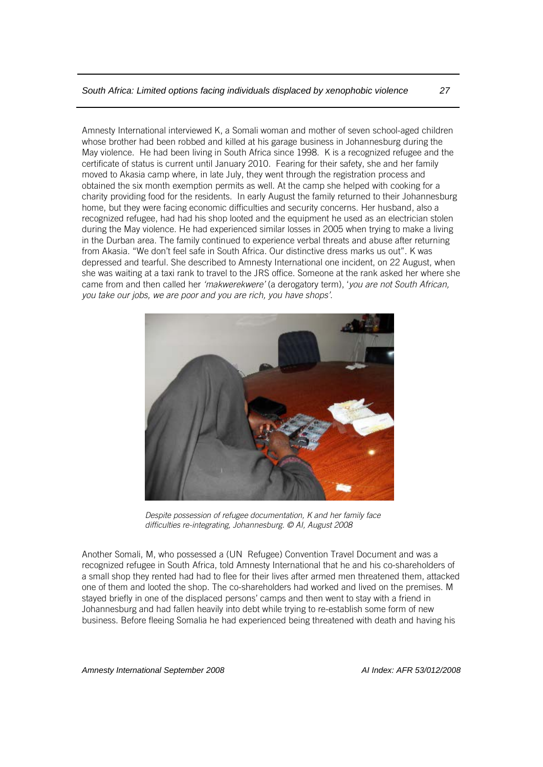Amnesty International interviewed K, a Somali woman and mother of seven school-aged children whose brother had been robbed and killed at his garage business in Johannesburg during the May violence. He had been living in South Africa since 1998. K is a recognized refugee and the certificate of status is current until January 2010. Fearing for their safety, she and her family moved to Akasia camp where, in late July, they went through the registration process and obtained the six month exemption permits as well. At the camp she helped with cooking for a charity providing food for the residents. In early August the family returned to their Johannesburg home, but they were facing economic difficulties and security concerns. Her husband, also a recognized refugee, had had his shop looted and the equipment he used as an electrician stolen during the May violence. He had experienced similar losses in 2005 when trying to make a living in the Durban area. The family continued to experience verbal threats and abuse after returning from Akasia. "We don't feel safe in South Africa. Our distinctive dress marks us out". K was depressed and tearful. She described to Amnesty International one incident, on 22 August, when she was waiting at a taxi rank to travel to the JRS office. Someone at the rank asked her where she came from and then called her *'makwerekwere'* (a derogatory term), '*you are not South African, you take our jobs, we are poor and you are rich, you have shops'*.



*Despite possession of refugee documentation, K and her family face difficulties re-integrating, Johannesburg. © AI, August 2008* 

Another Somali, M, who possessed a (UN Refugee) Convention Travel Document and was a recognized refugee in South Africa, told Amnesty International that he and his co-shareholders of a small shop they rented had had to flee for their lives after armed men threatened them, attacked one of them and looted the shop. The co-shareholders had worked and lived on the premises. M stayed briefly in one of the displaced persons' camps and then went to stay with a friend in Johannesburg and had fallen heavily into debt while trying to re-establish some form of new business. Before fleeing Somalia he had experienced being threatened with death and having his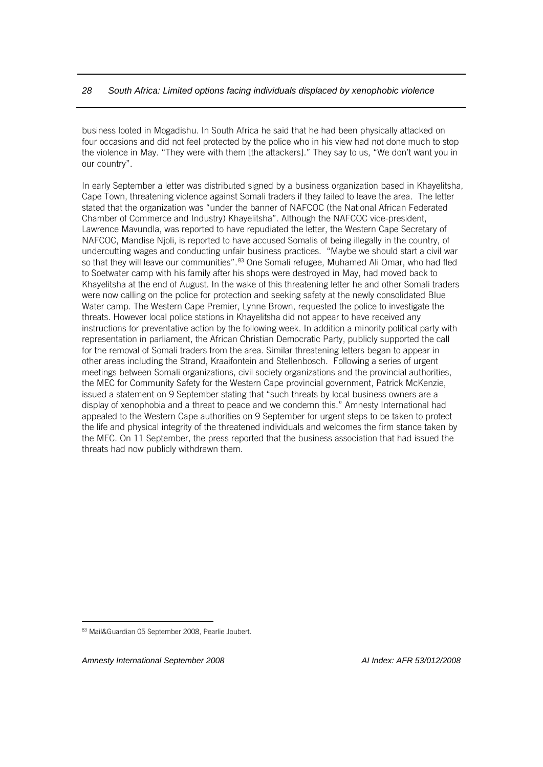business looted in Mogadishu. In South Africa he said that he had been physically attacked on four occasions and did not feel protected by the police who in his view had not done much to stop the violence in May. "They were with them [the attackers]." They say to us, "We don't want you in our country".

In early September a letter was distributed signed by a business organization based in Khayelitsha, Cape Town, threatening violence against Somali traders if they failed to leave the area. The letter stated that the organization was "under the banner of NAFCOC (the National African Federated Chamber of Commerce and Industry) Khayelitsha". Although the NAFCOC vice-president, Lawrence Mavundla, was reported to have repudiated the letter, the Western Cape Secretary of NAFCOC, Mandise Njoli, is reported to have accused Somalis of being illegally in the country, of undercutting wages and conducting unfair business practices. "Maybe we should start a civil war so that they will leave our communities".<sup>[83](#page-30-0)</sup> One Somali refugee, Muhamed Ali Omar, who had fled to Soetwater camp with his family after his shops were destroyed in May, had moved back to Khayelitsha at the end of August. In the wake of this threatening letter he and other Somali traders were now calling on the police for protection and seeking safety at the newly consolidated Blue Water camp. The Western Cape Premier, Lynne Brown, requested the police to investigate the threats. However local police stations in Khayelitsha did not appear to have received any instructions for preventative action by the following week. In addition a minority political party with representation in parliament, the African Christian Democratic Party, publicly supported the call for the removal of Somali traders from the area. Similar threatening letters began to appear in other areas including the Strand, Kraaifontein and Stellenbosch. Following a series of urgent meetings between Somali organizations, civil society organizations and the provincial authorities, the MEC for Community Safety for the Western Cape provincial government, Patrick McKenzie, issued a statement on 9 September stating that "such threats by local business owners are a display of xenophobia and a threat to peace and we condemn this." Amnesty International had appealed to the Western Cape authorities on 9 September for urgent steps to be taken to protect the life and physical integrity of the threatened individuals and welcomes the firm stance taken by the MEC. On 11 September, the press reported that the business association that had issued the threats had now publicly withdrawn them.

*Amnesty International September 2008 AI Index: AFR 53/012/2008*

<span id="page-30-0"></span><sup>83</sup> Mail&Guardian 05 September 2008, Pearlie Joubert.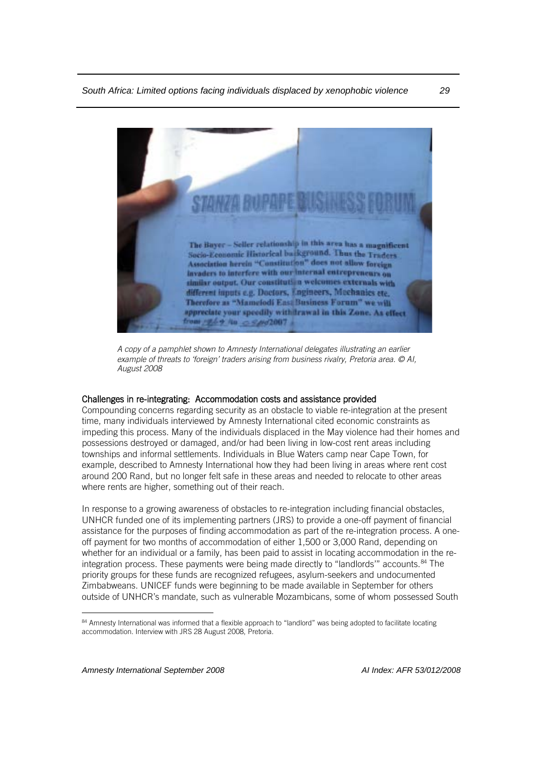

*A copy of a pamphlet shown to Amnesty International delegates illustrating an earlier example of threats to 'foreign' traders arising from business rivalry, Pretoria area. © AI, August 2008*

#### Challenges in re-integrating: Accommodation costs and assistance provided

Compounding concerns regarding security as an obstacle to viable re-integration at the present time, many individuals interviewed by Amnesty International cited economic constraints as impeding this process. Many of the individuals displaced in the May violence had their homes and possessions destroyed or damaged, and/or had been living in low-cost rent areas including townships and informal settlements. Individuals in Blue Waters camp near Cape Town, for example, described to Amnesty International how they had been living in areas where rent cost around 200 Rand, but no longer felt safe in these areas and needed to relocate to other areas where rents are higher, something out of their reach.

In response to a growing awareness of obstacles to re-integration including financial obstacles, UNHCR funded one of its implementing partners (JRS) to provide a one-off payment of financial assistance for the purposes of finding accommodation as part of the re-integration process. A oneoff payment for two months of accommodation of either 1,500 or 3,000 Rand, depending on whether for an individual or a family, has been paid to assist in locating accommodation in the re-integration process. These payments were being made directly to "landlords" accounts.<sup>[84](#page-31-0)</sup> The priority groups for these funds are recognized refugees, asylum-seekers and undocumented Zimbabweans. UNICEF funds were beginning to be made available in September for others outside of UNHCR's mandate, such as vulnerable Mozambicans, some of whom possessed South

<span id="page-31-0"></span><sup>84</sup> Amnesty International was informed that a flexible approach to "landlord" was being adopted to facilitate locating accommodation. Interview with JRS 28 August 2008, Pretoria.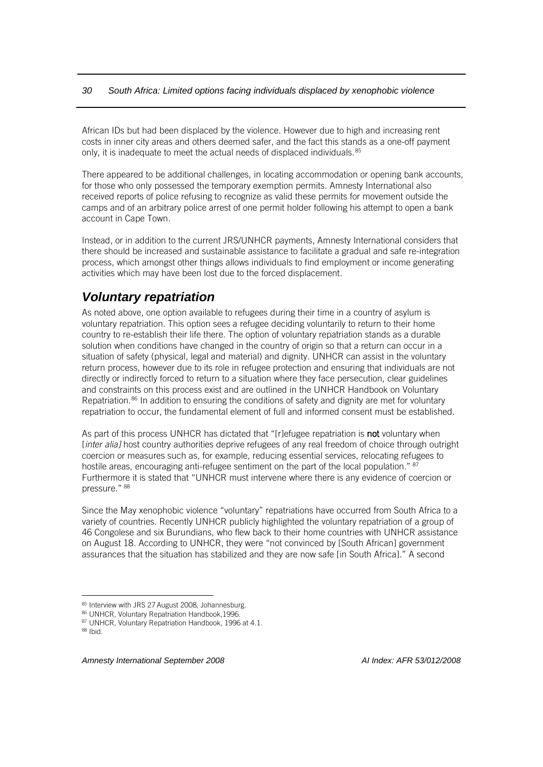African IDs but had been displaced by the violence. However due to high and increasing rent costs in inner city areas and others deemed safer, and the fact this stands as a one-off payment only, it is inadequate to meet the actual needs of displaced individuals.<sup>[85](#page-32-1)</sup>

There appeared to be additional challenges, in locating accommodation or opening bank accounts, for those who only possessed the temporary exemption permits. Amnesty International also received reports of police refusing to recognize as valid these permits for movement outside the camps and of an arbitrary police arrest of one permit holder following his attempt to open a bank account in Cape Town.

Instead, or in addition to the current JRS/UNHCR payments, Amnesty International considers that there should be increased and sustainable assistance to facilitate a gradual and safe re-integration process, which amongst other things allows individuals to find employment or income generating activities which may have been lost due to the forced displacement.

## <span id="page-32-0"></span>*Voluntary repatriation*

As noted above, one option available to refugees during their time in a country of asylum is voluntary repatriation. This option sees a refugee deciding voluntarily to return to their home country to re-establish their life there. The option of voluntary repatriation stands as a durable solution when conditions have changed in the country of origin so that a return can occur in a situation of safety (physical, legal and material) and dignity. UNHCR can assist in the voluntary return process, however due to its role in refugee protection and ensuring that individuals are not directly or indirectly forced to return to a situation where they face persecution, clear guidelines and constraints on this process exist and are outlined in the UNHCR Handbook on Voluntary Repatriation.<sup>[86](#page-32-2)</sup> In addition to ensuring the conditions of safety and dignity are met for voluntary repatriation to occur, the fundamental element of full and informed consent must be established.

As part of this process UNHCR has dictated that "[r]efugee repatriation is not voluntary when [*inter alia]* host country authorities deprive refugees of any real freedom of choice through outright coercion or measures such as, for example, reducing essential services, relocating refugees to hostile areas, encouraging anti-refugee sentiment on the part of the local population." <sup>[87](#page-32-3)</sup> Furthermore it is stated that "UNHCR must intervene where there is any evidence of coercion or pressure." [88](#page-32-4)

Since the May xenophobic violence "voluntary" repatriations have occurred from South Africa to a variety of countries. Recently UNHCR publicly highlighted the voluntary repatriation of a group of 46 Congolese and six Burundians, who flew back to their home countries with UNHCR assistance on August 18. According to UNHCR, they were "not convinced by [South African] government assurances that the situation has stabilized and they are now safe [in South Africa]." A second

<span id="page-32-1"></span><sup>85</sup> Interview with JRS 27 August 2008, Johannesburg.

<span id="page-32-2"></span><sup>86</sup> UNHCR, Voluntary Repatriation Handbook, 1996.

<sup>87</sup> UNHCR, Voluntary Repatriation Handbook, 1996 at 4.1.<br>88 Ibid.

<span id="page-32-4"></span><span id="page-32-3"></span>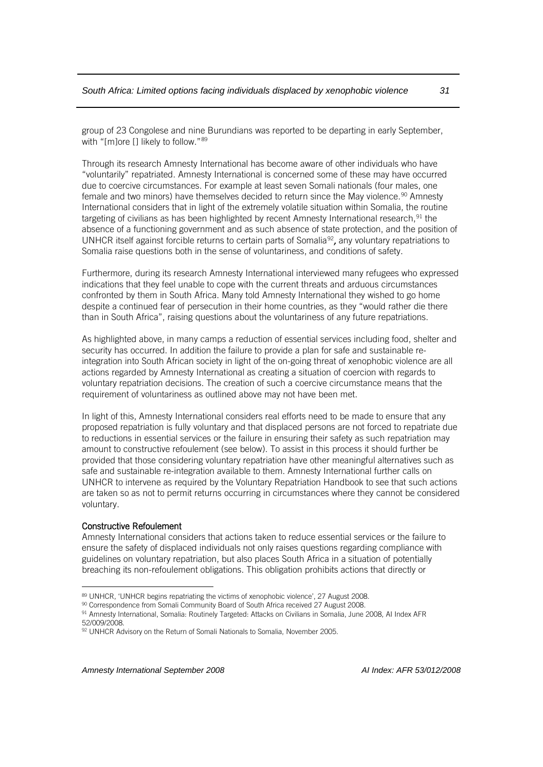group of 23 Congolese and nine Burundians was reported to be departing in early September, with "[m]ore [] likely to follow."[89](#page-33-0)

Through its research Amnesty International has become aware of other individuals who have "voluntarily" repatriated. Amnesty International is concerned some of these may have occurred due to coercive circumstances. For example at least seven Somali nationals (four males, one female and two minors) have themselves decided to return since the May violence.<sup>[90](#page-33-1)</sup> Amnesty International considers that in light of the extremely volatile situation within Somalia, the routine targeting of civilians as has been highlighted by recent Amnesty International research, $91$  the absence of a functioning government and as such absence of state protection, and the position of UNHCR itself against forcible returns to certain parts of Somalia<sup>[92](#page-33-3)</sup>, any voluntary repatriations to Somalia raise questions both in the sense of voluntariness, and conditions of safety.

Furthermore, during its research Amnesty International interviewed many refugees who expressed indications that they feel unable to cope with the current threats and arduous circumstances confronted by them in South Africa. Many told Amnesty International they wished to go home despite a continued fear of persecution in their home countries, as they "would rather die there than in South Africa", raising questions about the voluntariness of any future repatriations.

As highlighted above, in many camps a reduction of essential services including food, shelter and security has occurred. In addition the failure to provide a plan for safe and sustainable reintegration into South African society in light of the on-going threat of xenophobic violence are all actions regarded by Amnesty International as creating a situation of coercion with regards to voluntary repatriation decisions. The creation of such a coercive circumstance means that the requirement of voluntariness as outlined above may not have been met.

In light of this, Amnesty International considers real efforts need to be made to ensure that any proposed repatriation is fully voluntary and that displaced persons are not forced to repatriate due to reductions in essential services or the failure in ensuring their safety as such repatriation may amount to constructive refoulement (see below). To assist in this process it should further be provided that those considering voluntary repatriation have other meaningful alternatives such as safe and sustainable re-integration available to them. Amnesty International further calls on UNHCR to intervene as required by the Voluntary Repatriation Handbook to see that such actions are taken so as not to permit returns occurring in circumstances where they cannot be considered voluntary.

#### Constructive Refoulement

 $\overline{a}$ 

Amnesty International considers that actions taken to reduce essential services or the failure to ensure the safety of displaced individuals not only raises questions regarding compliance with guidelines on voluntary repatriation, but also places South Africa in a situation of potentially breaching its non-refoulement obligations. This obligation prohibits actions that directly or

<span id="page-33-0"></span><sup>89</sup> UNHCR, 'UNHCR begins repatriating the victims of xenophobic violence', 27 August 2008.

<span id="page-33-1"></span><sup>90</sup> Correspondence from Somali Community Board of South Africa received 27 August 2008.

<span id="page-33-2"></span><sup>91</sup> Amnesty International, Somalia: Routinely Targeted: Attacks on Civilians in Somalia, June 2008, AI Index AFR 52/009/2008.

<span id="page-33-3"></span><sup>92</sup> UNHCR Advisory on the Return of Somali Nationals to Somalia, November 2005.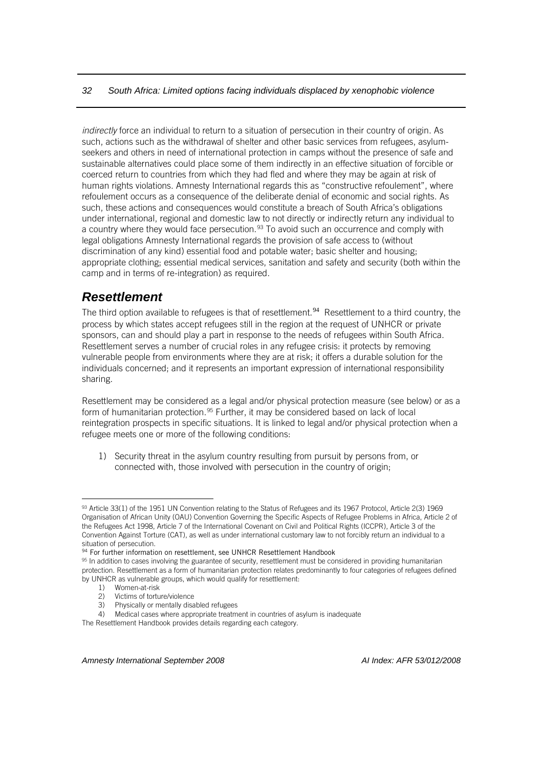*indirectly* force an individual to return to a situation of persecution in their country of origin. As such, actions such as the withdrawal of shelter and other basic services from refugees, asylumseekers and others in need of international protection in camps without the presence of safe and sustainable alternatives could place some of them indirectly in an effective situation of forcible or coerced return to countries from which they had fled and where they may be again at risk of human rights violations. Amnesty International regards this as "constructive refoulement", where refoulement occurs as a consequence of the deliberate denial of economic and social rights. As such, these actions and consequences would constitute a breach of South Africa's obligations under international, regional and domestic law to not directly or indirectly return any individual to a country where they would face persecution.<sup>[93](#page-34-1)</sup> To avoid such an occurrence and comply with legal obligations Amnesty International regards the provision of safe access to (without discrimination of any kind) essential food and potable water; basic shelter and housing; appropriate clothing; essential medical services, sanitation and safety and security (both within the camp and in terms of re-integration) as required.

## <span id="page-34-0"></span>*Resettlement*

The third option available to refugees is that of resettlement.<sup>[94](#page-34-2)</sup> Resettlement to a third country, the process by which states accept refugees still in the region at the request of UNHCR or private sponsors, can and should play a part in response to the needs of refugees within South Africa. Resettlement serves a number of crucial roles in any refugee crisis: it protects by removing vulnerable people from environments where they are at risk; it offers a durable solution for the individuals concerned; and it represents an important expression of international responsibility sharing.

Resettlement may be considered as a legal and/or physical protection measure (see below) or as a form of humanitarian protection.<sup>[95](#page-34-3)</sup> Further, it may be considered based on lack of local reintegration prospects in specific situations. It is linked to legal and/or physical protection when a refugee meets one or more of the following conditions:

1) Security threat in the asylum country resulting from pursuit by persons from, or connected with, those involved with persecution in the country of origin;

 $\overline{a}$ 

The Resettlement Handbook provides details regarding each category.

<span id="page-34-1"></span><sup>93</sup> Article 33(1) of the 1951 UN Convention relating to the Status of Refugees and its 1967 Protocol, Article 2(3) 1969 Organisation of African Unity (OAU) Convention Governing the Specific Aspects of Refugee Problems in Africa, Article 2 of the Refugees Act 1998, Article 7 of the International Covenant on Civil and Political Rights (ICCPR), Article 3 of the Convention Against Torture (CAT), as well as under international customary law to not forcibly return an individual to a situation of persecution.

<sup>94</sup> For further information on resettlement, see UNHCR Resettlement Handbook

<span id="page-34-3"></span><span id="page-34-2"></span><sup>95</sup> In addition to cases involving the guarantee of security, resettlement must be considered in providing humanitarian protection. Resettlement as a form of humanitarian protection relates predominantly to four categories of refugees defined by UNHCR as vulnerable groups, which would qualify for resettlement:

<sup>1)</sup> Women-at-risk

<sup>2)</sup> Victims of torture/violence

<sup>3)</sup> Physically or mentally disabled refugees

<sup>4)</sup> Medical cases where appropriate treatment in countries of asylum is inadequate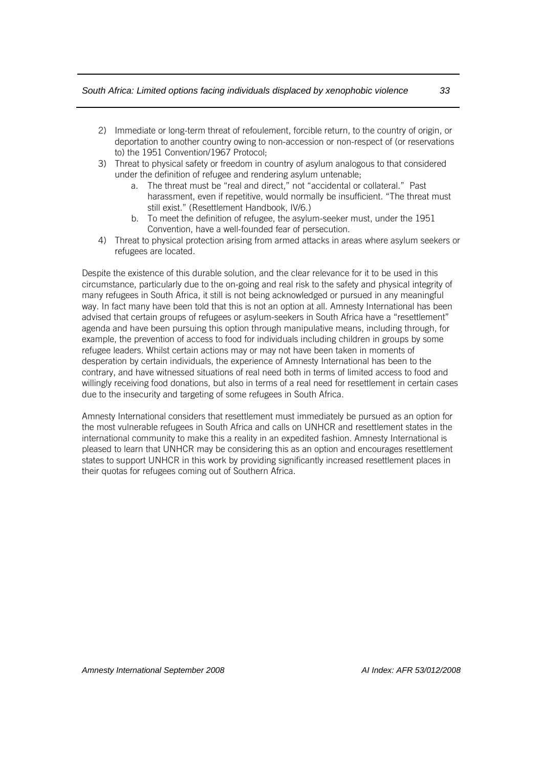- 2) Immediate or long-term threat of refoulement, forcible return, to the country of origin, or deportation to another country owing to non-accession or non-respect of (or reservations to) the 1951 Convention/1967 Protocol;
- 3) Threat to physical safety or freedom in country of asylum analogous to that considered under the definition of refugee and rendering asylum untenable;
	- a. The threat must be "real and direct," not "accidental or collateral." Past harassment, even if repetitive, would normally be insufficient. "The threat must still exist." (Resettlement Handbook, IV/6.)
	- b. To meet the definition of refugee, the asylum-seeker must, under the 1951 Convention, have a well-founded fear of persecution.
- 4) Threat to physical protection arising from armed attacks in areas where asylum seekers or refugees are located.

Despite the existence of this durable solution, and the clear relevance for it to be used in this circumstance, particularly due to the on-going and real risk to the safety and physical integrity of many refugees in South Africa, it still is not being acknowledged or pursued in any meaningful way. In fact many have been told that this is not an option at all. Amnesty International has been advised that certain groups of refugees or asylum-seekers in South Africa have a "resettlement" agenda and have been pursuing this option through manipulative means, including through, for example, the prevention of access to food for individuals including children in groups by some refugee leaders. Whilst certain actions may or may not have been taken in moments of desperation by certain individuals, the experience of Amnesty International has been to the contrary, and have witnessed situations of real need both in terms of limited access to food and willingly receiving food donations, but also in terms of a real need for resettlement in certain cases due to the insecurity and targeting of some refugees in South Africa.

Amnesty International considers that resettlement must immediately be pursued as an option for the most vulnerable refugees in South Africa and calls on UNHCR and resettlement states in the international community to make this a reality in an expedited fashion. Amnesty International is pleased to learn that UNHCR may be considering this as an option and encourages resettlement states to support UNHCR in this work by providing significantly increased resettlement places in their quotas for refugees coming out of Southern Africa.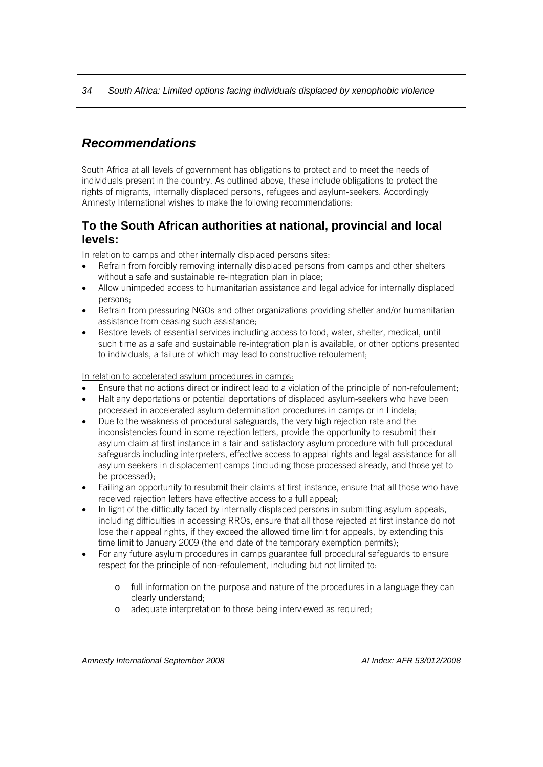## <span id="page-36-0"></span>*Recommendations*

South Africa at all levels of government has obligations to protect and to meet the needs of individuals present in the country. As outlined above, these include obligations to protect the rights of migrants, internally displaced persons, refugees and asylum-seekers. Accordingly Amnesty International wishes to make the following recommendations:

#### <span id="page-36-1"></span>**To the South African authorities at national, provincial and local levels:**

In relation to camps and other internally displaced persons sites:

- Refrain from forcibly removing internally displaced persons from camps and other shelters without a safe and sustainable re-integration plan in place;
- Allow unimpeded access to humanitarian assistance and legal advice for internally displaced persons;
- Refrain from pressuring NGOs and other organizations providing shelter and/or humanitarian assistance from ceasing such assistance;
- Restore levels of essential services including access to food, water, shelter, medical, until such time as a safe and sustainable re-integration plan is available, or other options presented to individuals, a failure of which may lead to constructive refoulement;

In relation to accelerated asylum procedures in camps:

- Ensure that no actions direct or indirect lead to a violation of the principle of non-refoulement;
- Halt any deportations or potential deportations of displaced asylum-seekers who have been processed in accelerated asylum determination procedures in camps or in Lindela;
- Due to the weakness of procedural safeguards, the very high rejection rate and the inconsistencies found in some rejection letters, provide the opportunity to resubmit their asylum claim at first instance in a fair and satisfactory asylum procedure with full procedural safeguards including interpreters, effective access to appeal rights and legal assistance for all asylum seekers in displacement camps (including those processed already, and those yet to be processed);
- Failing an opportunity to resubmit their claims at first instance, ensure that all those who have received rejection letters have effective access to a full appeal;
- In light of the difficulty faced by internally displaced persons in submitting asylum appeals, including difficulties in accessing RROs, ensure that all those rejected at first instance do not lose their appeal rights, if they exceed the allowed time limit for appeals, by extending this time limit to January 2009 (the end date of the temporary exemption permits);
- For any future asylum procedures in camps guarantee full procedural safeguards to ensure respect for the principle of non-refoulement, including but not limited to:
	- o full information on the purpose and nature of the procedures in a language they can clearly understand;
	- o adequate interpretation to those being interviewed as required;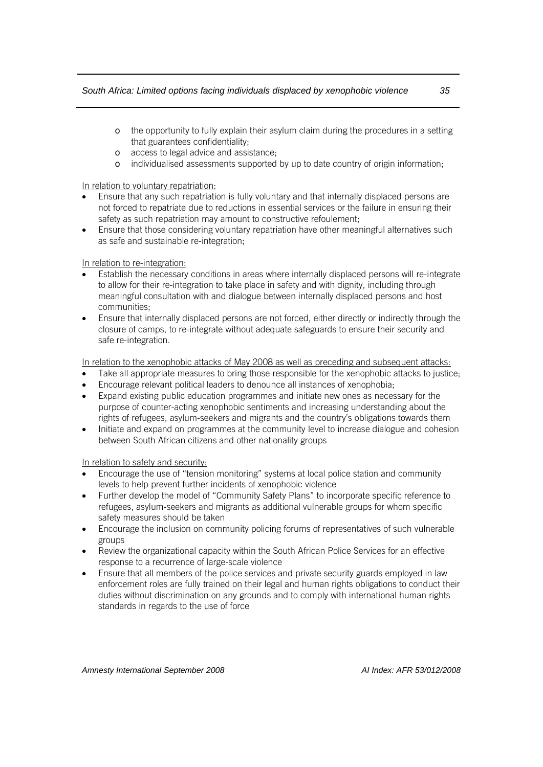- o the opportunity to fully explain their asylum claim during the procedures in a setting that guarantees confidentiality;
- o access to legal advice and assistance;
- o individualised assessments supported by up to date country of origin information;

In relation to voluntary repatriation:

- Ensure that any such repatriation is fully voluntary and that internally displaced persons are not forced to repatriate due to reductions in essential services or the failure in ensuring their safety as such repatriation may amount to constructive refoulement;
- Ensure that those considering voluntary repatriation have other meaningful alternatives such as safe and sustainable re-integration;

#### In relation to re-integration:

- Establish the necessary conditions in areas where internally displaced persons will re-integrate to allow for their re-integration to take place in safety and with dignity, including through meaningful consultation with and dialogue between internally displaced persons and host communities;
- Ensure that internally displaced persons are not forced, either directly or indirectly through the closure of camps, to re-integrate without adequate safeguards to ensure their security and safe re-integration.

In relation to the xenophobic attacks of May 2008 as well as preceding and subsequent attacks:

- Take all appropriate measures to bring those responsible for the xenophobic attacks to justice;
- Encourage relevant political leaders to denounce all instances of xenophobia;
- Expand existing public education programmes and initiate new ones as necessary for the purpose of counter-acting xenophobic sentiments and increasing understanding about the rights of refugees, asylum-seekers and migrants and the country's obligations towards them
- Initiate and expand on programmes at the community level to increase dialogue and cohesion between South African citizens and other nationality groups

In relation to safety and security:

- Encourage the use of "tension monitoring" systems at local police station and community levels to help prevent further incidents of xenophobic violence
- Further develop the model of "Community Safety Plans" to incorporate specific reference to refugees, asylum-seekers and migrants as additional vulnerable groups for whom specific safety measures should be taken
- Encourage the inclusion on community policing forums of representatives of such vulnerable groups
- Review the organizational capacity within the South African Police Services for an effective response to a recurrence of large-scale violence
- Ensure that all members of the police services and private security guards employed in law enforcement roles are fully trained on their legal and human rights obligations to conduct their duties without discrimination on any grounds and to comply with international human rights standards in regards to the use of force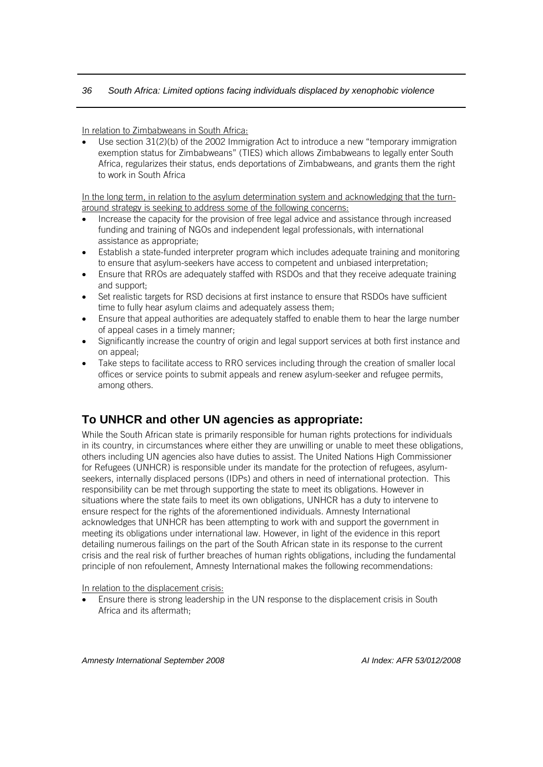In relation to Zimbabweans in South Africa:

• Use section 31(2)(b) of the 2002 Immigration Act to introduce a new "temporary immigration exemption status for Zimbabweans" (TIES) which allows Zimbabweans to legally enter South Africa, regularizes their status, ends deportations of Zimbabweans, and grants them the right to work in South Africa

In the long term, in relation to the asylum determination system and acknowledging that the turnaround strategy is seeking to address some of the following concerns:

- Increase the capacity for the provision of free legal advice and assistance through increased funding and training of NGOs and independent legal professionals, with international assistance as appropriate;
- Establish a state-funded interpreter program which includes adequate training and monitoring to ensure that asylum-seekers have access to competent and unbiased interpretation;
- Ensure that RROs are adequately staffed with RSDOs and that they receive adequate training and support;
- Set realistic targets for RSD decisions at first instance to ensure that RSDOs have sufficient time to fully hear asylum claims and adequately assess them;
- Ensure that appeal authorities are adequately staffed to enable them to hear the large number of appeal cases in a timely manner;
- Significantly increase the country of origin and legal support services at both first instance and on appeal;
- Take steps to facilitate access to RRO services including through the creation of smaller local offices or service points to submit appeals and renew asylum-seeker and refugee permits, among others.

## <span id="page-38-0"></span>**To UNHCR and other UN agencies as appropriate:**

While the South African state is primarily responsible for human rights protections for individuals in its country, in circumstances where either they are unwilling or unable to meet these obligations, others including UN agencies also have duties to assist. The United Nations High Commissioner for Refugees (UNHCR) is responsible under its mandate for the protection of refugees, asylumseekers, internally displaced persons (IDPs) and others in need of international protection. This responsibility can be met through supporting the state to meet its obligations. However in situations where the state fails to meet its own obligations, UNHCR has a duty to intervene to ensure respect for the rights of the aforementioned individuals. Amnesty International acknowledges that UNHCR has been attempting to work with and support the government in meeting its obligations under international law. However, in light of the evidence in this report detailing numerous failings on the part of the South African state in its response to the current crisis and the real risk of further breaches of human rights obligations, including the fundamental principle of non refoulement, Amnesty International makes the following recommendations:

In relation to the displacement crisis:

• Ensure there is strong leadership in the UN response to the displacement crisis in South Africa and its aftermath;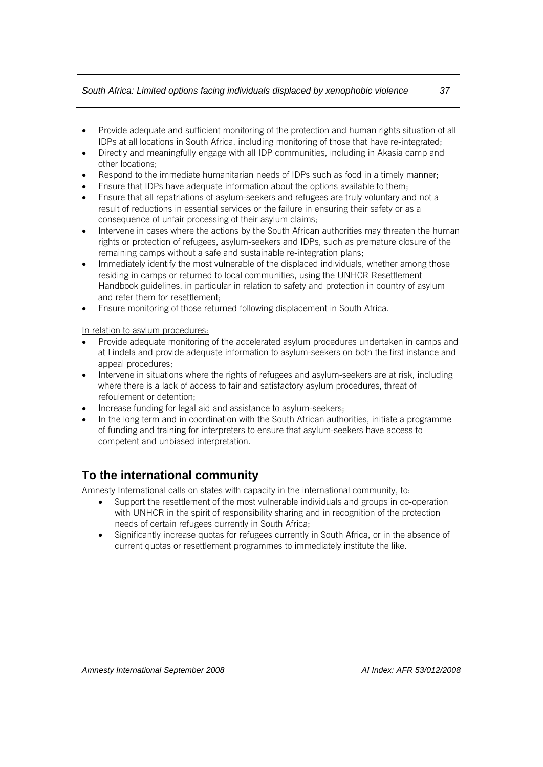- Provide adequate and sufficient monitoring of the protection and human rights situation of all IDPs at all locations in South Africa, including monitoring of those that have re-integrated;
- Directly and meaningfully engage with all IDP communities, including in Akasia camp and other locations;
- Respond to the immediate humanitarian needs of IDPs such as food in a timely manner;
- Ensure that IDPs have adequate information about the options available to them;
- Ensure that all repatriations of asylum-seekers and refugees are truly voluntary and not a result of reductions in essential services or the failure in ensuring their safety or as a consequence of unfair processing of their asylum claims;
- Intervene in cases where the actions by the South African authorities may threaten the human rights or protection of refugees, asylum-seekers and IDPs, such as premature closure of the remaining camps without a safe and sustainable re-integration plans;
- Immediately identify the most vulnerable of the displaced individuals, whether among those residing in camps or returned to local communities, using the UNHCR Resettlement Handbook guidelines, in particular in relation to safety and protection in country of asylum and refer them for resettlement;
- Ensure monitoring of those returned following displacement in South Africa.

In relation to asylum procedures:

- Provide adequate monitoring of the accelerated asylum procedures undertaken in camps and at Lindela and provide adequate information to asylum-seekers on both the first instance and appeal procedures;
- Intervene in situations where the rights of refugees and asylum-seekers are at risk, including where there is a lack of access to fair and satisfactory asylum procedures, threat of refoulement or detention;
- Increase funding for legal aid and assistance to asylum-seekers;
- In the long term and in coordination with the South African authorities, initiate a programme of funding and training for interpreters to ensure that asylum-seekers have access to competent and unbiased interpretation.

## <span id="page-39-0"></span>**To the international community**

Amnesty International calls on states with capacity in the international community, to:

- Support the resettlement of the most vulnerable individuals and groups in co-operation with UNHCR in the spirit of responsibility sharing and in recognition of the protection needs of certain refugees currently in South Africa;
- Significantly increase quotas for refugees currently in South Africa, or in the absence of current quotas or resettlement programmes to immediately institute the like.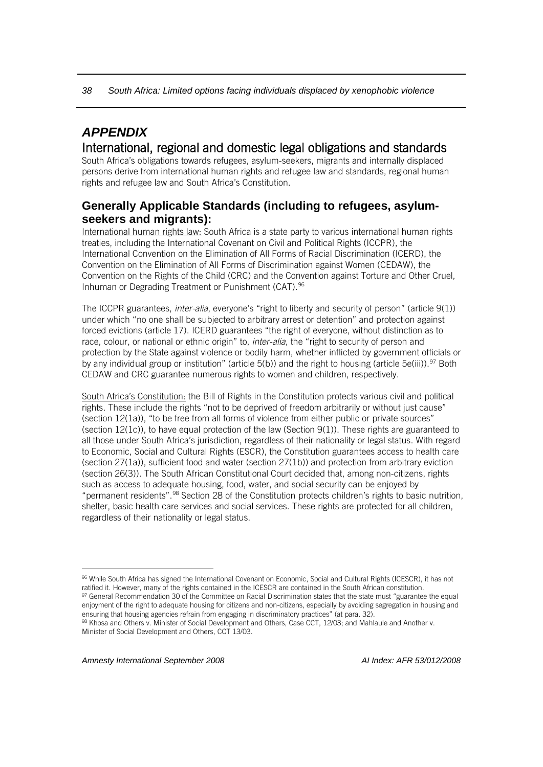## <span id="page-40-0"></span>*APPENDIX*

## International, regional and domestic legal obligations and standards South Africa's obligations towards refugees, asylum-seekers, migrants and internally displaced

persons derive from international human rights and refugee law and standards, regional human rights and refugee law and South Africa's Constitution.

## <span id="page-40-1"></span>**Generally Applicable Standards (including to refugees, asylumseekers and migrants):**

International human rights law: South Africa is a state party to various international human rights treaties, including the International Covenant on Civil and Political Rights (ICCPR), the International Convention on the Elimination of All Forms of Racial Discrimination (ICERD), the Convention on the Elimination of All Forms of Discrimination against Women (CEDAW), the Convention on the Rights of the Child (CRC) and the Convention against Torture and Other Cruel, Inhuman or Degrading Treatment or Punishment (CAT).<sup>[96](#page-40-2)</sup>

The ICCPR guarantees, *inter-alia*, everyone's "right to liberty and security of person" (article 9(1)) under which "no one shall be subjected to arbitrary arrest or detention" and protection against forced evictions (article 17). ICERD guarantees "the right of everyone, without distinction as to race, colour, or national or ethnic origin" to, *inter-alia*, the "right to security of person and protection by the State against violence or bodily harm, whether inflicted by government officials or by any individual group or institution" (article 5(b)) and the right to housing (article 5e(iii)).<sup>[97](#page-40-3)</sup> Both CEDAW and CRC guarantee numerous rights to women and children, respectively.

South Africa's Constitution: the Bill of Rights in the Constitution protects various civil and political rights. These include the rights "not to be deprived of freedom arbitrarily or without just cause" (section 12(1a)), "to be free from all forms of violence from either public or private sources" (section  $12(1c)$ ), to have equal protection of the law (Section  $9(1)$ ). These rights are guaranteed to all those under South Africa's jurisdiction, regardless of their nationality or legal status. With regard to Economic, Social and Cultural Rights (ESCR), the Constitution guarantees access to health care (section 27(1a)), sufficient food and water (section 27(1b)) and protection from arbitrary eviction (section 26(3)). The South African Constitutional Court decided that, among non-citizens, rights such as access to adequate housing, food, water, and social security can be enjoyed by "permanent residents".[98](#page-40-4) Section 28 of the Constitution protects children's rights to basic nutrition, shelter, basic health care services and social services. These rights are protected for all children, regardless of their nationality or legal status.

<span id="page-40-2"></span> $\overline{a}$ <sup>96</sup> While South Africa has signed the International Covenant on Economic, Social and Cultural Rights (ICESCR), it has not ratified it. However, many of the rights contained in the ICESCR are contained in the South African constitution.

<span id="page-40-3"></span><sup>97</sup> General Recommendation 30 of the Committee on Racial Discrimination states that the state must "guarantee the equal enjoyment of the right to adequate housing for citizens and non-citizens, especially by avoiding segregation in housing and ensuring that housing agencies refrain from engaging in discriminatory practices" (at para. 32).

<span id="page-40-4"></span><sup>98</sup> Khosa and Others v. Minister of Social Development and Others, Case CCT, 12/03; and Mahlaule and Another v. Minister of Social Development and Others, CCT 13/03.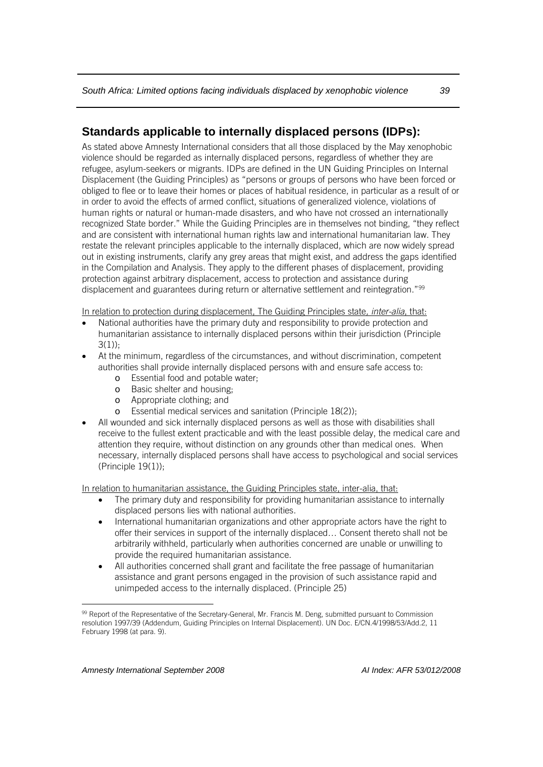## <span id="page-41-0"></span>**Standards applicable to internally displaced persons (IDPs):**

As stated above Amnesty International considers that all those displaced by the May xenophobic violence should be regarded as internally displaced persons, regardless of whether they are refugee, asylum-seekers or migrants. IDPs are defined in the UN Guiding Principles on Internal Displacement (the Guiding Principles) as "persons or groups of persons who have been forced or obliged to flee or to leave their homes or places of habitual residence, in particular as a result of or in order to avoid the effects of armed conflict, situations of generalized violence, violations of human rights or natural or human-made disasters, and who have not crossed an internationally recognized State border." While the Guiding Principles are in themselves not binding, "they reflect and are consistent with international human rights law and international humanitarian law. They restate the relevant principles applicable to the internally displaced, which are now widely spread out in existing instruments, clarify any grey areas that might exist, and address the gaps identified in the Compilation and Analysis. They apply to the different phases of displacement, providing protection against arbitrary displacement, access to protection and assistance during displacement and guarantees during return or alternative settlement and reintegration."<sup>[99](#page-41-1)</sup>

In relation to protection during displacement, The Guiding Principles state*, inter-alia*, that:

- National authorities have the primary duty and responsibility to provide protection and humanitarian assistance to internally displaced persons within their jurisdiction (Principle  $3(1)$ :
- At the minimum, regardless of the circumstances, and without discrimination, competent authorities shall provide internally displaced persons with and ensure safe access to:
	- o Essential food and potable water;
	- o Basic shelter and housing;
	- o Appropriate clothing; and
	- o Essential medical services and sanitation (Principle 18(2));
- All wounded and sick internally displaced persons as well as those with disabilities shall receive to the fullest extent practicable and with the least possible delay, the medical care and attention they require, without distinction on any grounds other than medical ones. When necessary, internally displaced persons shall have access to psychological and social services (Principle 19(1));

In relation to humanitarian assistance, the Guiding Principles state, inter-alia, that:

- The primary duty and responsibility for providing humanitarian assistance to internally displaced persons lies with national authorities.
- International humanitarian organizations and other appropriate actors have the right to offer their services in support of the internally displaced… Consent thereto shall not be arbitrarily withheld, particularly when authorities concerned are unable or unwilling to provide the required humanitarian assistance.
- All authorities concerned shall grant and facilitate the free passage of humanitarian assistance and grant persons engaged in the provision of such assistance rapid and unimpeded access to the internally displaced. (Principle 25)

<span id="page-41-1"></span><sup>99</sup> Report of the Representative of the Secretary-General, Mr. Francis M. Deng, submitted pursuant to Commission resolution 1997/39 (Addendum, Guiding Principles on Internal Displacement). UN Doc. E/CN.4/1998/53/Add.2, 11 February 1998 (at para. 9).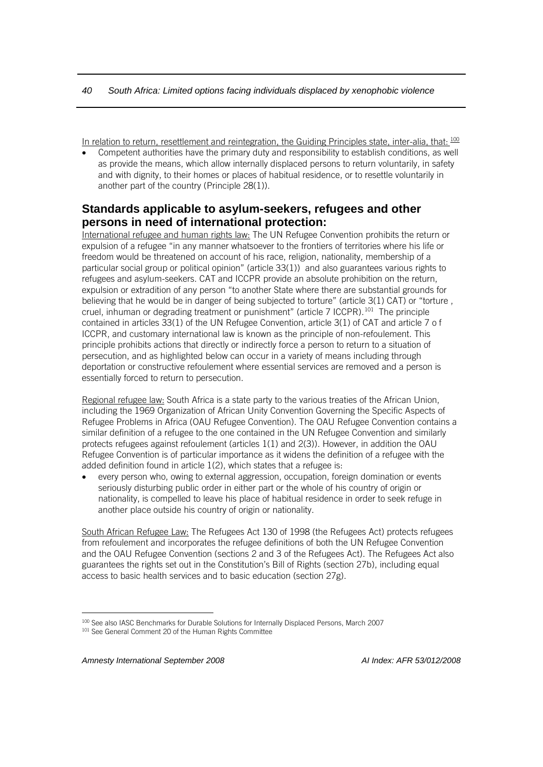In relation to return, resettlement and reintegration, the Guiding Principles state, inter-alia, that:  $^{100}$  $^{100}$  $^{100}$ 

• Competent authorities have the primary duty and responsibility to establish conditions, as well as provide the means, which allow internally displaced persons to return voluntarily, in safety and with dignity, to their homes or places of habitual residence, or to resettle voluntarily in another part of the country (Principle 28(1)).

#### <span id="page-42-0"></span>**Standards applicable to asylum-seekers, refugees and other persons in need of international protection:**

International refugee and human rights law: The UN Refugee Convention prohibits the return or expulsion of a refugee "in any manner whatsoever to the frontiers of territories where his life or freedom would be threatened on account of his race, religion, nationality, membership of a particular social group or political opinion" (article 33(1)) and also guarantees various rights to refugees and asylum-seekers. CAT and ICCPR provide an absolute prohibition on the return, expulsion or extradition of any person "to another State where there are substantial grounds for believing that he would be in danger of being subjected to torture" (article 3(1) CAT) or "torture , cruel, inhuman or degrading treatment or punishment" (article 7 ICCPR).[101](#page-42-2) The principle contained in articles 33(1) of the UN Refugee Convention, article 3(1) of CAT and article 7 o f ICCPR, and customary international law is known as the principle of non-refoulement. This principle prohibits actions that directly or indirectly force a person to return to a situation of persecution, and as highlighted below can occur in a variety of means including through deportation or constructive refoulement where essential services are removed and a person is essentially forced to return to persecution.

Regional refugee law: South Africa is a state party to the various treaties of the African Union, including the 1969 Organization of African Unity Convention Governing the Specific Aspects of Refugee Problems in Africa (OAU Refugee Convention). The OAU Refugee Convention contains a similar definition of a refugee to the one contained in the UN Refugee Convention and similarly protects refugees against refoulement (articles 1(1) and 2(3)). However, in addition the OAU Refugee Convention is of particular importance as it widens the definition of a refugee with the added definition found in article 1(2), which states that a refugee is:

• every person who, owing to external aggression, occupation, foreign domination or events seriously disturbing public order in either part or the whole of his country of origin or nationality, is compelled to leave his place of habitual residence in order to seek refuge in another place outside his country of origin or nationality.

South African Refugee Law: The Refugees Act 130 of 1998 (the Refugees Act) protects refugees from refoulement and incorporates the refugee definitions of both the UN Refugee Convention and the OAU Refugee Convention (sections 2 and 3 of the Refugees Act). The Refugees Act also guarantees the rights set out in the Constitution's Bill of Rights (section 27b), including equal access to basic health services and to basic education (section 27g).

<span id="page-42-2"></span><span id="page-42-1"></span> $\overline{a}$ 100 See also IASC Benchmarks for Durable Solutions for Internally Displaced Persons, March 2007 <sup>101</sup> See General Comment 20 of the Human Rights Committee